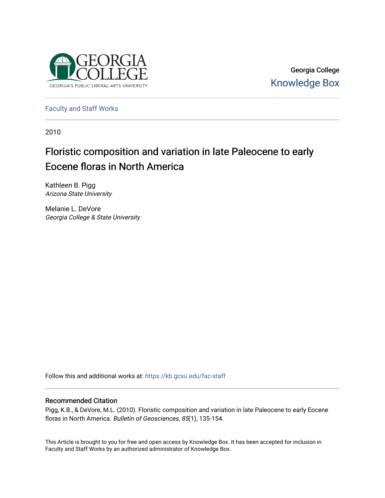

Georgia College [Knowledge Box](https://kb.gcsu.edu/) 

[Faculty and Staff Works](https://kb.gcsu.edu/fac-staff)

2010

# Floristic composition and variation in late Paleocene to early Eocene floras in North America

Kathleen B. Pigg Arizona State University

Melanie L. DeVore Georgia College & State University

Follow this and additional works at: [https://kb.gcsu.edu/fac-staff](https://kb.gcsu.edu/fac-staff?utm_source=kb.gcsu.edu%2Ffac-staff%2F325&utm_medium=PDF&utm_campaign=PDFCoverPages) 

# Recommended Citation

Pigg, K.B., & DeVore, M.L. (2010). Floristic composition and variation in late Paleocene to early Eocene floras in North America. Bulletin of Geosciences, 85(1), 135-154.

This Article is brought to you for free and open access by Knowledge Box. It has been accepted for inclusion in Faculty and Staff Works by an authorized administrator of Knowledge Box.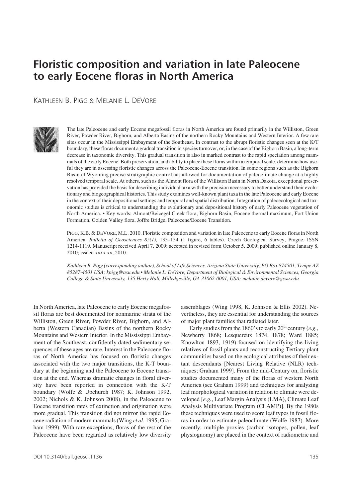# Floristic composition and variation in late Paleocene **to early Eocene floras in North America**

Kathleen B. Pigg & Melanie L. DeVore



The late Paleocene and early Eocene megafossil floras in North America are found primarily in the Williston, Green River, Powder River, Bighorn, and Alberta Basins of the northern Rocky Mountains and Western Interior. A few rare sites occur in the Mississippi Embayment of the Southeast. In contrast to the abrupt floristic changes seen at the K/T boundary, these floras document a gradual transition in species turnover, or, in the case of the Bighorn Basin, a long-term decrease in taxonomic diversity. This gradual transition is also in marked contrast to the rapid speciation among mammals of the early Eocene. Both preservation, and ability to place these floras within a temporal scale, determine how useful they are in assessing floristic changes across the Paleocene-Eocene transition. In some regions such as the Bighorn Basin of Wyoming precise stratigraphic control has allowed for documentation of paleoclimate change at a highly resolved temporal scale. At others, such as the Almont flora of the Williston Basin in North Dakota, exceptional preservation has provided the basis for describing individual taxa with the precision necessary to better understand their evolutionary and biogeographical histories. This study examines well-known plant taxa in the late Paleocene and early Eocene in the context of their depositional settings and temporal and spatial distribution. Integration of paleoecological and taxonomic studies is critical to understanding the evolutionary and depositional history of early Paleocene vegetation of North America. • Key words: Almont/Beicegel Creek flora, Bighorn Basin, Eocene thermal maximum, Fort Union Formation, Golden Valley flora, Joffre Bridge, Paleocene/Eocene Transition.

PIGG, K.B. & DEVORE, M.L. 2010. Floristic composition and variation in late Paleocene to early Eocene floras in North America. *Bulletin of Geosciences 85(1)*, 135–154 (1 figure, 6 tables). Czech Geological Survey, Prague. ISSN 1214-1119. Manuscript received April 7, 2009; accepted in revised form October 5, 2009; published online January 8, 2010; issued xxxx xx, 2010.

*Kathleen B. Pigg (corresponding author), School of Life Sciences, Arizona State University, PO Box 874501, Tempe AZ 85287-4501 USA; kpigg@asu.edu • Melanie L. DeVore, Department of Biological & Environmental Sciences, Georgia College & State University, 135 Herty Hall, Milledgeville, GA 31062-0001, USA; melanie.devore@gcsu.edu*

In North America, late Paleocene to early Eocene megafossil floras are best documented for nonmarine strata of the Williston, Green River, Powder River, Bighorn, and Alberta (Western Canadian) Basins of the northern Rocky Mountains and Western Interior. In the Mississippi Embayment of the Southeast, confidently dated sedimentary sequences of these ages are rare. Interest in the Paleocene floras of North America has focused on floristic changes associated with the two major transitions, the K-T boundary at the beginning and the Paleocene to Eocene transition at the end. Whereas dramatic changes in floral diversity have been reported in connection with the K-T boundary (Wolfe & Upchurch 1987; K. Johnson 1992, 2002; Nichols & K. Johnson 2008), in the Paleocene to Eocene transition rates of extinction and origination were more gradual. This transition did not mirror the rapid Eocene radiation of modern mammals (Wing *et al*. 1995; Graham 1999). With rare exceptions, floras of the rest of the Paleocene have been regarded as relatively low diversity assemblages (Wing 1998, K. Johnson & Ellis 2002). Nevertheless, they are essential for understanding the sources of major plant families that radiated later.

Early studies from the 1860's to early 20<sup>th</sup> century (e.g., Newberry 1868; Lesquereux 1874, 1878; Ward 1885; Knowlton 1893, 1919) focused on identifying the living relatives of fossil plants and reconstructing Tertiary plant communities based on the ecological attributes of their extant descendants [Nearest Living Relative (NLR) techniques; Graham 1999]. From the mid-Century on, floristic studies documented many of the floras of western North America (see Graham 1999) and techniques for analyzing leaf morphological variation in relation to climate were developed [*e.g.*, Leaf Margin Analysis (LMA), Climate Leaf Analysis Multivariate Program (CLAMP)]. By the 1980s these techniques were used to score leaf types in fossil floras in order to estimate paleoclimate (Wolfe 1987). More recently, multiple proxies (carbon isotopes, pollen, leaf physiognomy) are placed in the context of radiometric and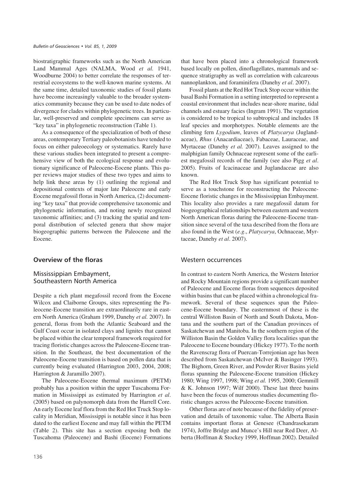biostratigraphic frameworks such as the North American Land Mammal Ages (NALMA, Wood *et al.* 1941, Woodburne 2004) to better correlate the responses of terrestrial ecosystems to the well-known marine systems. At the same time, detailed taxonomic studies of fossil plants have become increasingly valuable to the broader systematics community because they can be used to date nodes of divergence for clades within phylogenetic trees. In particular, well-preserved and complete specimens can serve as "key taxa" in phylogenetic reconstruction (Table 1).

As a consequence of the specialization of both of these areas, contemporary Tertiary paleobotanists have tended to focus on either paleoecology or systematics. Rarely have these various studies been integrated to present a comprehensive view of both the ecological response and evolutionary significance of Paleocene-Eocene plants. This paper reviews major studies of these two types and aims to help link these areas by (1) outlining the regional and depositional contexts of major late Paleocene and early Eocene megafossil floras in North America, (2) documenting "key taxa" that provide comprehensive taxonomic and phylogenetic information, and noting newly recognized taxonomic affinities; and (3) tracking the spatial and temporal distribution of selected genera that show major biogeographic patterns between the Paleocene and the Eocene.

## **Overview of the floras**

# Mississippian Embayment, Southeastern North America

Despite a rich plant megafossil record from the Eocene Wilcox and Claiborne Groups, sites representing the Paleocene-Eocene transition are extraordinarily rare in eastern North America (Graham 1999, Danehy *et al.* 2007). In general, floras from both the Atlantic Seaboard and the Gulf Coast occur in isolated clays and lignites that cannot be placed within the clear temporal framework required for tracing floristic changes across the Paleocene-Eocene transition. In the Southeast, the best documentation of the Paleocene-Eocene transition is based on pollen data that is currently being evaluated (Harrington 2003, 2004, 2008; Harrington & Jaramillo 2007).

The Paleocene-Eocene thermal maximum (PETM) probably has a position within the upper Tuscahoma Formation in Mississippi as estimated by Harrington *et al*. (2005) based on palynomorph data from the Harrell Core. An early Eocene leaf flora from the Red Hot Truck Stop locality in Meridian, Mississippi is notable since it has been dated to the earliest Eocene and may fall within the PETM (Table 2). This site has a section exposing both the Tuscahoma (Paleocene) and Bashi (Eocene) Formations that have been placed into a chronological framework based locally on pollen, dinoflagellates, mammals and sequence stratigraphy as well as correlation with calcareous nannoplankton, and foraminifera (Danehy *et al*. 2007).

Fossil plants at the Red Hot Truck Stop occur within the basal Bashi Formation in a setting interpreted to represent a coastal environment that includes near-shore marine, tidal channels and estuary facies (Ingram 1991). The vegetation is considered to be tropical to subtropical and includes 18 leaf species and morphotypes. Notable elements are the climbing fern *Lygodium*, leaves of *Platycarya* (Juglandaceae), *Rhus* (Anacardiaceae), Fabaceae, Lauraceae, and Myrtaceae (Danehy *et al.* 2007). Leaves assigned to the malphigian family Ochnaceae represent some of the earliest megafossil records of the family (see also Pigg *et al*. 2005). Fruits of Icacinaceae and Juglandaceae are also known.

The Red Hot Truck Stop has significant potential to serve as a touchstone for reconstructing the Paleocene-Eocene floristic changes in the Mississippian Embayment. This locality also provides a rare megafossil datum for biogeographical relationships between eastern and western North American floras during the Paleocene-Eocene transition since several of the taxa described from the flora are also found in the West (*e.g*., *Platycarya*, Ochnaceae, Myrtaceae, Danehy *et al*. 2007).

#### Western occurrences

In contrast to eastern North America, the Western Interior and Rocky Mountain regions provide a significant number of Paleocene and Eocene floras from sequences deposited within basins that can be placed within a chronological framework. Several of these sequences span the Paleocene-Eocene boundary. The easternmost of these is the central Williston Basin of North and South Dakota, Montana and the southern part of the Canadian provinces of Saskatchewan and Manitoba. In the southern region of the Williston Basin the Golden Valley flora localities span the Paleocene to Eocene boundary (Hickey 1977). To the north the Ravenscrag flora of Puercan-Torrejonian age has been described from Saskatchewan (McIver & Basinger 1993). The Bighorn, Green River, and Powder River Basins yield floras spanning the Paleocene-Eocene transition (Hickey 1980; Wing 1997, 1998; Wing *et al.* 1995, 2000; Gemmill & K. Johnson 1997; Wilf 2000). These last three basins have been the focus of numerous studies documenting floristic changes across the Paleocene-Eocene transition.

Other floras are of note because of the fidelity of preservation and details of taxonomic value. The Alberta Basin contains important floras at Genesee (Chandrasekaram 1974), Joffre Bridge and Munce's Hill near Red Deer, Alberta (Hoffman & Stockey 1999, Hoffman 2002). Detailed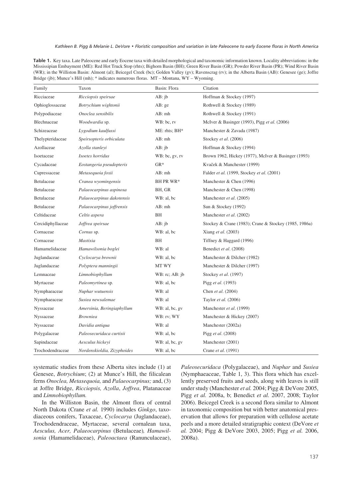#### Kathleen B. Pigg & Melanie L. DeVore • Floristic composition and variation in late Paleocene to early Eocene floras in North America

Table 1. Key taxa. Late Paleocene and early Eocene taxa with detailed morphological and taxonomic information known. Locality abbreviations: in the Mississipian Embayment (ME): Red Hot Truck Stop (rhts); Bighorn Basin (BH); Green River Basin (GR); Powder River Basin (PR); Wind River Basin (WR); in the Williston Basin: Almont (al); Beicegel Creek (bc); Golden Valley (gv); Ravenscrag (rv); in the Alberta Basin (AB): Genesee (ge); Joffre Bridge (jb); Munce's Hill (mh); \* indicates numerous floras. MT – Montana, WY – Wyoming.

| Family            | Taxon                       | Basin: Flora   | Citation                                              |
|-------------------|-----------------------------|----------------|-------------------------------------------------------|
| Ricciaceae        | Ricciopsis speirsae         | AB:ib          | Hoffman & Stockey (1997)                              |
| Ophioglossaceae   | Botrychium wightonii        | AB: ge         | Rothwell & Stockey (1989)                             |
| Polypodiaceae     | Onoclea sensibilis          | AB:mh          | Rothwell & Stockey (1991)                             |
| Blechnaceae       | Woodwardia sp.              | WB: bc, rv     | McIver & Basinger (1993), Pigg et al. (2006)          |
| Schizeaceae       | Lygodium kaulfussi          | ME: rhts; BH*  | Manchester & Zavada (1987)                            |
| Thelypteridaceae  | Speirsopteris orbiculata    | AB: mh         | Stockey et al. (2006)                                 |
| Azollaceae        | Azolla stanleyi             | AB: jb         | Hoffman & Stockey (1994)                              |
| Isoetaceae        | Isoetes horridus            | WB: bc, gv, rv | Brown 1962, Hickey (1977), McIver & Basinger (1993)   |
| Cycadaceae        | Eostangeria pseudopteris    | $GR*$          | Kvaček & Manchester (1999)                            |
| Cupressaceae      | Metasequoia foxii           | $AB:$ mh       | Falder et al. (1999, Stockey et al. (2001)            |
| Betulaceae        | Cranea wyomingensis         | BH PR WR*      | Manchester & Chen (1996)                              |
| Betulaceae        | Palaeocarpinus aspinosa     | BH, GR         | Manchester & Chen (1998)                              |
| Betulaceae        | Palaeocarpinus dakotensis   | WB: al, bc     | Manchester et al. (2005)                              |
| Betulaceae        | Palaeocarpinus joffrensis   | $AB:$ mh       | Sun & Stockey (1992)                                  |
| Celtidaceae       | Celtis aspera               | BH             | Manchester et al. (2002)                              |
| Cercidiphyllaceae | Joffrea speirsae            | AB: ib         | Stockey & Crane (1983); Crane & Stockey (1985, 1986a) |
| Cornaceae         | Cornus sp.                  | WB: al, bc     | Xiang et al. (2003)                                   |
| Cornaceae         | Mastixia                    | BH             | Tiffney & Haggard (1996)                              |
| Hamamelidaceae    | Hamawilsonia boglei         | WB: al         | Benedict et al. (2008)                                |
| Juglandaceae      | Cyclocarya brownii          | WB: al, bc     | Manchester & Dilcher (1982)                           |
| Juglandaceae      | Polyptera manningii         | MT WY          | Manchester & Dilcher (1997)                           |
| Lemnaceae         | Limnobiophyllum             | WB: rc; AB: jb | Stockey et al. (1997)                                 |
| Myrtaceae         | Paleomyrtinea sp.           | WB: al, bc     | Pigg et al. (1993)                                    |
| Nymphaeaceae      | Nuphar wutuensis            | WB: al         | Chen et al. (2004)                                    |
| Nymphaeaceae      | Susiea newsalemae           | WB: al         | Taylor et al. (2006)                                  |
| Nyssaceae         | Amersinia, Beringiaphyllum  | WB: al, bc, gv | Manchester et al. (1999)                              |
| Nyssaceae         | <b>Browniea</b>             | WB: rv; WY     | Manchester & Hickey (2007)                            |
| Nyssaceae         | Davidia antiqua             | WB: al         | Manchester (2002a)                                    |
| Polygalaceae      | Paleosecuridaca curtisii    | WB: al, bc     | Pigg et al. (2008)                                    |
| Sapindaceae       | Aesculus hickeyi            | WB: al, bc, gv | Manchester (2001)                                     |
| Trochodendraceae  | Nordenskioldia, Zizyphoides | WB: al, bc     | Crane et al. (1991)                                   |

systematic studies from these Alberta sites include (1) at Genesee, *Botrychium*; (2) at Munce's Hill, the filicalean ferns *Onoclea, Metasequoia,* and *Palaeocarpinus;* and, (3) at Joffre Bridge, *Ricciopsis, Azolla*, *Joffrea*, Platanaceae and *Limnobiophyllum.*

In the Williston Basin, the Almont flora of central North Dakota (Crane *et al.* 1990) includes *Ginkgo*, taxodiaceous conifers, Taxaceae, *Cyclocarya* (Juglandaceae), Trochodendraceae, Myrtaceae, several cornalean taxa, *Aesculus, Acer, Palaeocarpinus* (Betulaceae)*, Hamawilsonia* (Hamamelidaceae), *Paleoactaea* (Ranunculaceae), *Paleosecuridaca* (Polygalaceae), and *Nuphar* and *Susiea* (Nymphaeaceae, Table 1, 3). This flora which has excellently preserved fruits and seeds, along with leaves is still under study (Manchester *et al.* 2004; Pigg & DeVore 2005, Pigg *et al.* 2008a, b; Benedict *et al.* 2007, 2008; Taylor 2006). Beicegel Creek is a second flora similar to Almont in taxonomic composition but with better anatomical preservation that allows for preparation with cellulose acetate peels and a more detailed stratigraphic context (DeVore *et al.* 2004; Pigg & DeVore 2003, 2005; Pigg *et al.* 2006, 2008a).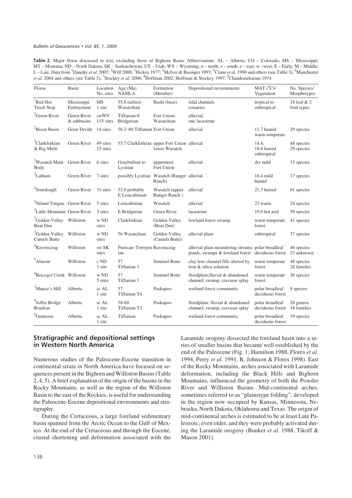Table 2. Major floras discussed in text, excluding those of Bighorn Basin. Abbreviations: AL – Alberta; CO – Colorado; MS – Mississippi; MT – Montana; ND – North Dakota; SK – Saskatchewan; UT – Utah; WY – Wyoming; n – north; s – south; e – east; w –west; E – Early; M – Middle; L – Late. Data from <sup>1</sup>Danehy *et al.* 2007; <sup>2</sup>Wilf 2000; <sup>3</sup>Hickey 1977; <sup>4</sup>McIver & Basinger 1993; <sup>5</sup>Crane *et al.* 1990 and others (see Table 3); <sup>6</sup>Manchester et al. 2004 and others (see Table 3); <sup>7</sup>Stockey *et al.* 2006; <sup>8</sup>Hoffman 2002; Hoffman & Stockey 1997; <sup>9</sup>Chandrasekaram 1974.

| Floras                                            | Basin                      | Location<br>No. sites | Age $(Ma)$<br>NAMLA                | Formation<br>(Member)                                        | Depositional environments                                                                            | $MAT (^0C)$ /<br>Vegetation         | No. Species/<br>Morphotypes |
|---------------------------------------------------|----------------------------|-----------------------|------------------------------------|--------------------------------------------------------------|------------------------------------------------------------------------------------------------------|-------------------------------------|-----------------------------|
| <sup>1</sup> Red Hot<br><b>Truck Stop</b>         | Mississippi<br>Embayment   | <b>MS</b><br>1 site   | 55.8 earliest<br>Wasatchian        | Bashi (base)                                                 | tidal channels<br>estuaries                                                                          | tropical to<br>subtropical          | 18 leaf & 2<br>fruit types  |
| <sup>2</sup> Green River                          | Green River<br>& subbasins | swWY<br>115 sites     | Tiffanian-E<br>Bridgerian          | Fort Union-<br>Wasatchian                                    | alluvial,<br>one lacustrine                                                                          |                                     |                             |
| <sup>2</sup> Bison Basin                          | <b>Great Divide</b>        | 14 sites              | 56.2-60 Tiffanian Fort Union       |                                                              | alluvial                                                                                             | 11.7 humid<br>warm temperate        | 29 species                  |
| <sup>2</sup> Clarkforkian<br>& Big Multi          | Green River                | 49 sites<br>15 sites  |                                    | 55.7 Clarkforkian upper Fort Union alluvial<br>lower Wasatch |                                                                                                      | 14.4,<br>18.6 humid<br>subtropical  | 48 species<br>29 species    |
| <sup>2</sup> Wasatch Main<br>Body                 | Green River                | 6 sites               | Graybullian to<br>Lysitian         | uppermost<br>Fort Union                                      | alluvial                                                                                             | dry mild                            | 13 species                  |
| ${}^{2}$ Latham                                   | Green River                | 7 sites               | possibly Lysitian                  | Wasatch (Ranger alluvial<br>Ranch)                           |                                                                                                      | $16.4$ mild<br>humid                | 17 species                  |
| <sup>2</sup> Sourdough                            | Green River                | 31 sites              | 52.8 probably<br>E Lostcabinian    | Wasatch (upper<br>Ranger Ranch)                              | alluvial                                                                                             | 21.3 humid                          | 61 species                  |
| <sup>2</sup> Niland Tongue Green River            |                            | 5 sites               | Lostcabinian                       | Wasatch                                                      | alluvial                                                                                             | 23 warm                             | 24 species                  |
| <sup>2</sup> Little Mountain Green River          |                            | 3 sites               | E Bridgerian                       | Green River                                                  | lacustrine                                                                                           | 19.6 hot arid                       | 59 species                  |
| <sup>3</sup> Golden Valley Williston<br>Bear Den  |                            | w ND<br>sites         | Clarkforkian                       | Golden Valley<br>(Bear Den)                                  | lowland forest swamp                                                                                 | warm temperate<br>forest            | 41 species                  |
| <sup>3</sup> Golden Valley<br><b>Camels Butte</b> | Williston                  | w ND<br>sites         | 56 Wasatchian                      | Golden Valley<br>(Camels Butte)                              | alluvial plain                                                                                       | subtropical                         | 37 species                  |
| <sup>4</sup> Ravenscrag                           | Williston                  | sw SK<br>sites        | Puercan-Torrejon Ravenscrag<br>ian |                                                              | alluvial plain meandering streams polar broadleaf<br>ponds, swamps & lowland forest deciduous forest |                                     | 46 species<br>23 unknown    |
| $5$ Almont                                        | Williston                  | $\rm c$ ND<br>1 site  | 57<br>Tiffanian 3                  | Sentinel Butte                                               | clay lens channel fills altered by<br>iron & silica solution                                         | warm temperate<br>forest            | 48 species<br>28 families   |
| <sup>6</sup> Beicegel Creek Williston             |                            | w ND<br>5 sites       | 57<br>Tiffanian 3                  | <b>Sentinel Butte</b>                                        | floodplain; fluvial & abandoned<br>channel; swamp; cravasse splay                                    | warm temperate<br>forest            | 30 species                  |
| $7$ Munce's Hill                                  | Alberta                    | sc AL<br>1 site       | 57<br>Tiffanian T4                 | Paskapoo                                                     | wetland forest community                                                                             | polar broadleaf<br>deciduous forest | 9 species                   |
| <sup>9</sup> Joffre Bridge<br>Roadcut             | Alberta                    | sc AL<br>1 site       | 58-60<br>Tiffanian T3              | Paskapoo                                                     | floodplain; fluvial & abandoned<br>channel; swamp; cravasse splay                                    | polar broadleaf<br>deciduous forest | 28 genera<br>18 families    |
| <sup>9</sup> Genessee                             | Alberta                    | sc AL<br>1 site       | Tiffanian                          | Paskapoo                                                     | wetland forest community                                                                             | polar broadleaf<br>deciduous forest | 19 species                  |

# **Stratigraphic and depositional settings ln Western North America**

Numerous studies of the Paleocene-Eocene transition in continental strata in North America have focused on sequences present in the Bighorn and Williston Basins (Table 2, 4, 5). A brief explanation of the origin of the basins in the Rocky Mountains, as well as the region of the Williston Basin to the east of the Rockies, is useful for understanding the Paleocene-Eocene depositional environments and stratigraphy.

During the Cretaceous, a large foreland sedimentary basin spanned from the Arctic Ocean to the Gulf of Mexico. At the end of the Cretaceous and through the Eocene, crustal shortening and deformation associated with the Laramide orogeny dissected the foreland basin into a series of smaller basins that became well established by the end of the Paleocene (Fig. 1; Hamilton 1988, Flores *et al.* 1994, Perry *et al.* 1991, R. Johnson & Flores 1998). East of the Rocky Mountains, arches associated with Laramide deformation, including the Black Hills and Bighorn Mountains, influenced the geometry of both the Powder River and Williston Basins. Mid-continental arches, sometimes referred to as "plainstype folding", developed in the region now occupied by Kansas, Minnesota, Nebraska, North Dakota, Oklahoma and Texas. The origin of mid-continental arches is estimated to be at least Late Paleozoic, even older, and they were probably activated during the Laramide orogeny (Bunker *et al.* 1988, Tikoff & Mason 2001).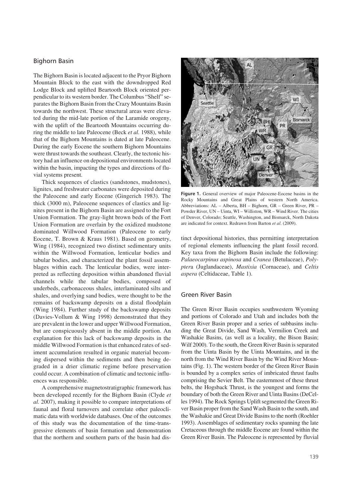# **Bighorn Basin**

The Bighorn Basin is located adjacent to the Pryor Bighorn Mountain Block to the east with the downdropped Red Lodge Block and uplifted Beartooth Block oriented perpendicular to its western border. The Columbus "Shelf" separates the Bighorn Basin from the Crazy Mountains Basin towards the northwest. These structural areas were elevated during the mid-late portion of the Laramide orogeny, with the uplift of the Beartooth Mountains occurring during the middle to late Paleocene (Beck *et al.* 1988), while that of the Bighorn Mountains is dated at late Paleocene. During the early Eocene the southern Bighorn Mountains were thrust towards the southeast. Clearly, the tectonic history had an influence on depositional environments located within the basin, impacting the types and directions of fluvial systems present.

Thick sequences of clastics (sandstones, mudstones), lignites, and freshwater carbonates were deposited during the Paleocene and early Eocene (Gingerich 1983). The thick (3000 m), Paleocene sequences of clastics and lignites present in the Bighorn Basin are assigned to the Fort Union Formation. The gray-light brown beds of the Fort Union Formation are overlain by the oxidized mudstone dominated Willwood Formation (Paleocene to early Eocene, T. Brown & Kraus 1981). Based on geometry, Wing (1984), recognized two distinct sedimentary units within the Willwood Formation, lenticular bodies and tabular bodies, and characterized the plant fossil assemblages within each. The lenticular bodies, were interpreted as reflecting deposition within abandoned fluvial channels while the tabular bodies, composed of underbeds, carbonaceous shales, interlaminated silts and shales, and overlying sand bodies, were thought to be the remains of backswamp deposits on a distal floodplain (Wing 1984). Further study of the backswamp deposits (Davies-Vollum & Wing 1998) demonstrated that they are prevalent in the lower and upper Willwood Formation, but are conspicuously absent in the middle portion. An explanation for this lack of backswamp deposits in the middle Willwood Formation is that enhanced rates of sediment accumulation resulted in organic material becoming dispersed within the sediments and then being degraded in a drier climatic regime before preservation could occur. A combination of climatic and tectonic influences was responsible.

A comprehensive magnetostratigraphic framework has been developed recently for the Bighorn Basin (Clyde *et al.* 2007), making it possible to compare interpretations of faunal and floral turnovers and correlate other paleoclimatic data with worldwide databases. One of the outcomes of this study was the documentation of the time-transgressive elements of basin formation and demonstration that the northern and southern parts of the basin had dis-



Figure 1. General overview of major Paleocene-Eocene basins in the Rocky Mountains and Great Plains of western North America. Abbreviations: AL – Alberta, BH – Bighorn, GR – Green River, PR – Powder River, UN – Uinta, WI – Williston, WR – Wind River. The cities of Denver, Colorado; Seattle, Washington, and Bismarck, North Dakota are indicated for context. Redrawn from Barton *et al*. (2009).

tinct depositional histories, thus permitting interpretation of regional elements influencing the plant fossil record. Key taxa from the Bighorn Basin include the following: *Palaeocarpinus aspinosa* and *Cranea* (Betulaceae), *Polypter*a (Juglandaceae), *Mastixia* (Cornaceae), and *Celtis aspera* (Celtidaceae, Table 1).

## **Green River Basin**

The Green River Basin occupies southwestern Wyoming and portions of Colorado and Utah and includes both the Green River Basin proper and a series of subbasins including the Great Divide, Sand Wash, Vermilion Creek and Washakie Basins, (as well as a locality, the Bison Basin; Wilf 2000). To the south, the Green River Basin is separated from the Uinta Basin by the Uinta Mountains, and in the north from the Wind River Basin by the Wind River Mountains (Fig. 1). The western border of the Green River Basin is bounded by a complex series of imbricated thrust faults comprising the Sevier Belt. The easternmost of these thrust belts, the Hogsback Thrust, is the youngest and forms the boundary of both the Green River and Uinta Basins (DeCelles 1994). The Rock Springs Uplift segmented the Green River Basin proper from the Sand Wash Basin to the south, and the Washakie and Great Divide Basins to the north (Roehler 1993). Assemblages of sedimentary rocks spanning the late Cretaceous through the middle Eocene are found within the Green River Basin. The Paleocene is represented by fluvial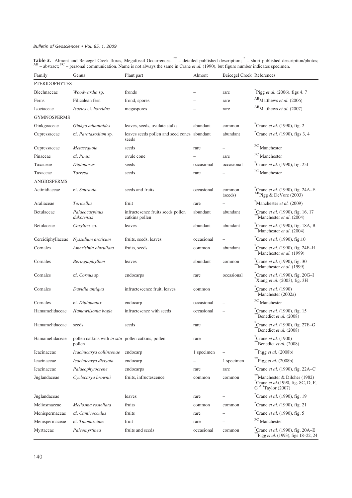**Table 3.** Almont and Beicegel Creek floras, Megafossil Occurrences.  $^{*+}$  – detailed published description;  $^{*}$  – short published description/photos;  $^{AB}$  – abstract;  $^{PC}$  – personal communication. Name is not alway

| Family               | Genus                                                        | Plant part                                           | Almont     | <b>Beicegel Creek References</b> |                                                                                                      |  |  |  |
|----------------------|--------------------------------------------------------------|------------------------------------------------------|------------|----------------------------------|------------------------------------------------------------------------------------------------------|--|--|--|
| <b>PTERIDOPHYTES</b> |                                                              |                                                      |            |                                  |                                                                                                      |  |  |  |
| <b>Blechnaceae</b>   | Woodwardia sp.                                               | fronds                                               |            | rare                             | Pigg et al. (2006), figs 4, 7                                                                        |  |  |  |
| Ferns                | Filicalean fern                                              | frond, spores                                        |            | rare                             | $AB$ Matthews <i>et al.</i> (2006)                                                                   |  |  |  |
| Isoetaceae           | Isoetes cf. horridus                                         | megaspores                                           |            | rare                             | AB <sub>Matthews et al.</sub> (2007)                                                                 |  |  |  |
| <b>GYMNOSPERMS</b>   |                                                              |                                                      |            |                                  |                                                                                                      |  |  |  |
| Ginkgoaceae          | Ginkgo adiantoides                                           | leaves, seeds, ovulate stalks                        | abundant   | common                           | $^{\circ}$ Crane <i>et al.</i> (1990), fig. 2                                                        |  |  |  |
| Cupressaceae         | cf. Parataxodium sp.                                         | leaves seeds pollen and seed cones abundant<br>seeds |            | abundant                         | $^{\ast}$ Crane <i>et al.</i> (1990), figs 3, 4                                                      |  |  |  |
| Cupressaceae         | Metasequoia                                                  | seeds                                                | rare       |                                  | <sup>PC</sup> Manchester                                                                             |  |  |  |
| Pinaceae             | cf. Pinus                                                    | ovule cone                                           |            | rare                             | <sup>PC</sup> Manchester                                                                             |  |  |  |
| Taxaceae             | Diploporus                                                   | seeds                                                | occasional | occasional                       | ${}^*$ Crane et al. (1990), fig. 25J                                                                 |  |  |  |
| Taxaceae             | Torreya                                                      | seeds                                                | rare       |                                  | PC Manchester                                                                                        |  |  |  |
| <b>ANGIOSPERMS</b>   |                                                              |                                                      |            |                                  |                                                                                                      |  |  |  |
| Actinidiaceae        | cf. Saurauia                                                 | seeds and fruits                                     | occasional | common<br>(seeds)                | <sup>*</sup> Crane et al. (1990), fig. 24A-E<br>$AB$ Pigg & DeVore (2003)                            |  |  |  |
| Araliaceae           | Toricellia                                                   | fruit                                                | rare       |                                  | Manchester et al. (2009)                                                                             |  |  |  |
| Betulaceae           | Palaeocarpinus<br>dakotensis                                 | infructesence fruits seeds pollen<br>catkins pollen  | abundant   | abundant                         | <sup>*</sup> Crane et al. (1990), fig. 16, 17<br>Manchester et al. (2004)                            |  |  |  |
| Betulaceae           | <i>Corylites</i> sp.                                         | leaves                                               | abundant   | abundant                         | <sup>*</sup> Crane et al. (1990), fig. 18A, B<br>Manchester et al. (2004)                            |  |  |  |
| Cercidiphyllaceae    | Nyssidium arcticum                                           | fruits, seeds, leaves                                | occasional |                                  | Crane <i>et al.</i> (1990), fig.10                                                                   |  |  |  |
| Cornales             | Amerisinia obtrullata                                        | fruits, seeds                                        | common     | abundant                         | *Crane et al. (1990), fig. 24F-H<br>Manchester et al. (1999)                                         |  |  |  |
| Cornales             | Beringiaphyllum                                              | leaves                                               | abundant   | common                           | ${}^*$ Crane et al. (1990), fig. 30<br>Manchester et al. (1999)                                      |  |  |  |
| Cornales             | cf. Cornus sp.                                               | endocarps                                            | rare       | occasional                       | <sup>*</sup> Crane et al. (1990), fig. 20G-I<br>*Xiang et al. (2003), fig. 3H                        |  |  |  |
| Cornales             | Davidia antiqua                                              | infructescence fruit, leaves                         | common     |                                  | <sup>*</sup> Crane et al. (1990)<br>Manchester (2002a)                                               |  |  |  |
| Cornales             | cf. Diplopanax                                               | endocarp                                             | occasional |                                  | <sup>PC</sup> Manchester                                                                             |  |  |  |
| Hamamelidaceae       | Hamawilsonia bogle                                           | infructesence with seeds                             | occasional |                                  | <sup>*</sup> Crane <i>et al.</i> (1990), fig. 15<br>Benedict et al. (2008)                           |  |  |  |
| Hamamelidaceae       | seeds                                                        | seeds                                                | rare       |                                  | Crane et al. (1990), fig. 27E-G<br>Benedict et al. (2008)                                            |  |  |  |
| Hamamelidaceae       | pollen catkins with in situ pollen catkins, pollen<br>pollen |                                                      | rare       |                                  | Crane et al. $(1900)$<br>Benedict et al. (2008)                                                      |  |  |  |
| Icacinaceae          | Icacinicarya collinsonae                                     | endocarp                                             | 1 specimen |                                  | Pigg et al. $(2008b)$                                                                                |  |  |  |
| Icacinaceae          | Icacinicarya dictyota                                        | endocarp                                             |            | 1 specimen                       | ** Pigg et al. (2008b)                                                                               |  |  |  |
| Icacinaceae          | Palaeophytocrene                                             | endocarps                                            | rare       | rare                             | <sup>*</sup> Crane et al. (1990), fig. 22A-C                                                         |  |  |  |
| Juglandaceae         | Cyclocarya brownii                                           | fruits, infructescence                               | common     | common                           | **Manchester & Dilcher (1982)<br><sup>*</sup> Crane et al.(1990, fig. 8C, D, F,<br>G ABTaylor (2007) |  |  |  |
| Juglandaceae         |                                                              | leaves                                               | rare       |                                  | ${}^{\ast}$ Crane <i>et al.</i> (1990), fig. 19                                                      |  |  |  |
| Meliosmaceae         | Meliosma rostellata                                          | fruits                                               | common     | common                           | $^*$ Crane <i>et al.</i> (1990), fig. 21                                                             |  |  |  |
| Menispermaceae       | cf. Canticocculus                                            | fruits                                               | rare       |                                  | <sup>*</sup> Crane et al. (1990), fig. 5                                                             |  |  |  |
| Menispermaceae       | cf. Tinomiscium                                              | fruit                                                | rare       |                                  | PC Manchester                                                                                        |  |  |  |
| Myrtaceae            | Paleomyrtinea                                                | fruits and seeds                                     | occasional | common                           | <sup>*</sup> Crane <i>et al.</i> (1990), fig. 20A–E<br>Pigg et al. (1993), figs 18-22, 24            |  |  |  |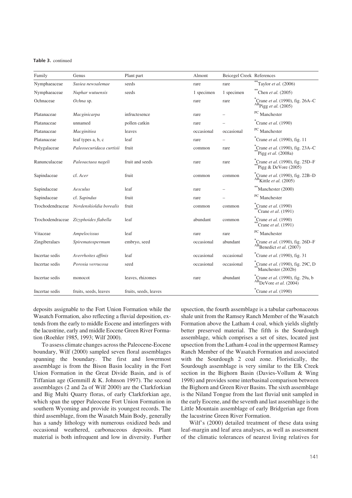| Table 3. continued |
|--------------------|
|                    |

| Family           | Genus                                 | Plant part            | Almont     | <b>Beicegel Creek References</b> |                                                                                     |
|------------------|---------------------------------------|-----------------------|------------|----------------------------------|-------------------------------------------------------------------------------------|
| Nymphaeaceae     | Susiea newsalemae                     | seeds                 | rare       | rare                             | $**$ Taylor et al. (2006)                                                           |
| Nymphaeaceae     | Nuphar wutuensis                      | seeds                 | 1 specimen | 1 specimen                       | **Chen et al. $(2005)$                                                              |
| Ochnaceae        | Ochna sp.                             |                       | rare       | rare                             | Crane et al. (1990), fig. 26A-C<br>$\overset{\text{AB}}{\text{Pigg}}$ et al. (2005) |
| Platanaceae      | Macginicarpa                          | infructesence         | rare       |                                  | $PC$ Manchester                                                                     |
| Platanaceae      | unnamed                               | pollen catkin         | rare       |                                  | $^*$ Crane <i>et al.</i> (1990)                                                     |
| Platanaceae      | Macginitiea                           | leaves                | occasional | occasional                       | PC Manchester                                                                       |
| Platanaceae      | leaf types a, b, c                    | leaf                  | rare       |                                  | <sup>*</sup> Crane et al. (1990), fig. 11                                           |
| Polygalaceae     | Paleosecuridaca curtisii              | fruit                 | common     | rare                             | <sup>*</sup> Crane et al. (1990), fig. 23A-C<br>$\mathrm{Pigg}$ et al. (2008a)      |
| Ranunculaceae    | Paleoactaea nageli                    | fruit and seeds       | rare       | rare                             | Crane <i>et al.</i> (1990), fig. 25D-F<br>Pigg & DeVore $(2005)$                    |
| Sapindaceae      | cf. Acer                              | fruit                 | common     | common                           | <i>crane et al.</i> (1990), fig. 22B-D<br>$^{AB}$ Kittle et al. (2005)              |
| Sapindaceae      | Aesculus                              | leaf                  | rare       |                                  | Manchester (2000)                                                                   |
| Sapindaceae      | cf. Sapindus                          | fruit                 | rare       |                                  | <sup>PC</sup> Manchester                                                            |
| Trochodendraceae | Nordenskioldia borealis               | fruit                 | common     | common                           | $^*$ Crane <i>et al.</i> (1990)<br>Crane <i>et al.</i> $(1991)$                     |
|                  | Trochodendraceae Zizyphoides flabella | leaf                  | abundant   | common                           | $^*$ Crane <i>et al.</i> (1990)<br>Crane et al. $(1991)$                            |
| Vitaceae         | Ampelocissus                          | leaf                  | rare       | rare                             | PC Manchester                                                                       |
| Zingiberalaes    | Spirematospermum                      | embryo, seed          | occasional | abundant                         | $^{\circ}$ Crane <i>et al.</i> (1990), fig. 26D–F<br>ABB enedict et al. (2007)      |
| Incertae sedis   | Averrhoites affinis                   | leaf                  | occasional | occasional                       | Crane <i>et al.</i> (1990), fig. 31                                                 |
| Incertae sedis   | Porosia verrucosa                     | seed                  | occasional | occasional                       | <sup>*</sup> Crane <i>et al.</i> (1990), fig. 29C, D<br>Manchester (2002b)          |
| Incertae sedis   | monocot                               | leaves, rhizomes      | rare       | abundant                         | Crane et al. (1990), fig. 29a, b<br>$\overline{AB}$ DeVore et al. (2004)            |
| Incertae sedis   | fruits, seeds, leaves                 | fruits, seeds, leaves |            |                                  | $^*$ Crane <i>et al.</i> (1990)                                                     |

deposits assignable to the Fort Union Formation while the Wasatch Formation, also reflecting a fluvial deposition, extends from the early to middle Eocene and interfingers with the lacustrine, early and middle Eocene Green River Formation (Roehler 1985, 1993; Wilf 2000).

To assess climate changes across the Paleocene-Eocene boundary, Wilf (2000) sampled seven floral assemblages spanning the boundary. The first and lowermost assemblage is from the Bison Basin locality in the Fort Union Formation in the Great Divide Basin, and is of Tiffanian age (Gemmill & K. Johnson 1997). The second assemblages (2 and 2a of Wilf 2000) are the Clarkforkian and Big Multi Quarry floras, of early Clarkforkian age, which span the upper Paleocene Fort Union Formation in southern Wyoming and provide its youngest records. The third assemblage, from the Wasatch Main Body, generally has a sandy lithology with numerous oxidized beds and occasional weathered, carbonaceous deposits. Plant material is both infrequent and low in diversity. Further upsection, the fourth assemblage is a tabular carbonaceous shale unit from the Ramsey Ranch Member of the Wasatch Formation above the Latham 4 coal, which yields slightly better preserved material. The fifth is the Sourdough assemblage, which comprises a set of sites, located just upsection from the Latham 4 coal in the uppermost Ramsey Ranch Member of the Wasatch Formation and associated with the Sourdough 2 coal zone. Floristically, the Sourdough assemblage is very similar to the Elk Creek section in the Bighorn Basin (Davies-Vollum & Wing 1998) and provides some interbasinal comparison between the Bighorn and Green River Basins. The sixth assemblage is the Niland Tongue from the last fluvial unit sampled in the early Eocene, and the seventh and last assemblage is the Little Mountain assemblage of early Bridgerian age from the lacustrine Green River Formation.

Wilf's (2000) detailed treatment of these data using leaf-margin and leaf area analyses, as well as assessment of the climatic tolerances of nearest living relatives for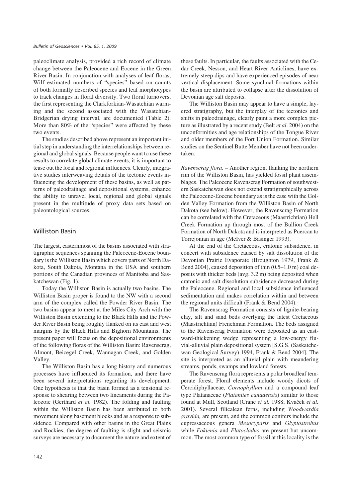paleoclimate analysis, provided a rich record of climate change between the Paleocene and Eocene in the Green River Basin. In conjunction with analyses of leaf floras, Wilf estimated numbers of "species" based on counts of both formally described species and leaf morphotypes to track changes in floral diversity. Two floral turnovers, the first representing the Clarkforkian-Wasatchian warming and the second associated with the Wasatchian-Bridgerian drying interval, are documented (Table 2). More than 80% of the "species" were affected by these two events.

The studies described above represent an important initial step in understanding the interrelationships between regional and global signals. Because people want to use these results to correlate global climate events, it is important to tease out the local and regional influences. Clearly, integrative studies interweaving details of the tectonic events influencing the development of these basins, as well as patterns of paleodrainage and depositional systems, enhance the ability to unravel local, regional and global signals present in the multitude of proxy data sets based on paleontological sources.

# **Williston Basin**

The largest, easternmost of the basins associated with stratigraphic sequences spanning the Paleocene-Eocene boundary is the Williston Basin which covers parts of North Dakota, South Dakota, Montana in the USA and southern portions of the Canadian provinces of Manitoba and Saskatchewan (Fig. 1).

Today the Williston Basin is actually two basins. The Williston Basin proper is found to the NW with a second arm of the complex called the Powder River Basin. The two basins appear to meet at the Miles City Arch with the Williston Basin extending to the Black Hills and the Powder River Basin being roughly flanked on its east and west margins by the Black Hills and Bighorn Mountains. The present paper will focus on the depositional environments of the following floras of the Williston Basin: Ravenscrag, Almont, Beicegel Creek, Wannagan Creek, and Golden Valley.

The Williston Basin has a long history and numerous processes have influenced its formation, and there have been several interpretations regarding its development. One hypothesis is that the basin formed as a tensional response to shearing between two lineaments during the Paleozoic (Gerthard *et al.* 1982). The folding and faulting within the Williston Basin has been attributed to both movement along basement blocks and as a response to subsidence. Compared with other basins in the Great Plains and Rockies, the degree of faulting is slight and seismic surveys are necessary to document the nature and extent of these faults. In particular, the faults associated with the Cedar Creek, Nesson, and Heart River Anticlines, have extremely steep dips and have experienced episodes of near vertical displacement. Some synclinal formations within the basin are attributed to collapse after the dissolution of Devonian age salt deposits.

The Williston Basin may appear to have a simple, layered stratigraphy, but the interplay of the tectonics and shifts in paleodrainage, clearly paint a more complex picture as illustrated by a recent study (Belt *et al*. 2004) on the unconformities and age relationships of the Tongue River and older members of the Fort Union Formation. Similar studies on the Sentinel Butte Member have not been undertaken.

*Ravenscrag flora*. – Another region, flanking the northern rim of the Williston Basin, has yielded fossil plant assemblages. The Paleocene Ravenscrag Formation of southwestern Saskatchewan does not extend stratigraphically across the Paleocene-Eocene boundary as is the case with the Golden Valley Formation from the Williston Basin of North Dakota (see below). However, the Ravenscrag Formation can be correlated with the Cretaceous (Maastrichtian) Hell Creek Formation up through most of the Bullion Creek Formation of North Dakota and is interpreted as Puercan to Torrejonian in age (McIver & Basinger 1993).

At the end of the Cretaceous, cratonic subsidence, in concert with subsidence caused by salt dissolution of the Devonian Prairie Evaporate (Broughton 1979, Frank & Bend 2004), caused deposition of thin (0.5–1.0 m) coal deposits with thicker beds (avg. 3.2 m) being deposited when cratonic and salt dissolution subsidence decreased during the Paleocene. Regional and local subsidence influenced sedimentation and makes correlation within and between the regional units difficult (Frank & Bend 2004).

The Ravenscrag Formation consists of lignite-bearing clay, silt and sand beds overlying the latest Cretaceous (Maastrichtian) Frenchman Formation. The beds assigned to the Ravenscrag Formation were deposited as an eastward-thickening wedge representing a low-energy fluvial-alluvial plain depositional system [S.G.S. (Saskatchewan Geological Survey) 1994, Frank & Bend 2004]. The site is interpreted as an alluvial plain with meandering streams, ponds, swamps and lowland forests.

The Ravenscrag flora represents a polar broadleaf temperate forest. Floral elements include woody dicots of Cercidiphyllaceae, *Cornophyllum* and a compound leaf type Platanaceae (*Platanites canadensis*) similar to those found at Mull, Scotland (Crane *et al.* 1988; Kvaček *et al.* 2001). Several filicalean ferns, including *Woodwardia gravida,* are present, and the common conifers include the cupressaceous genera *Mesocyparis* and *Glyptostrobus* while *Fokienia* and *Elatocladus* are present but uncommon. The most common type of fossil at this locality is the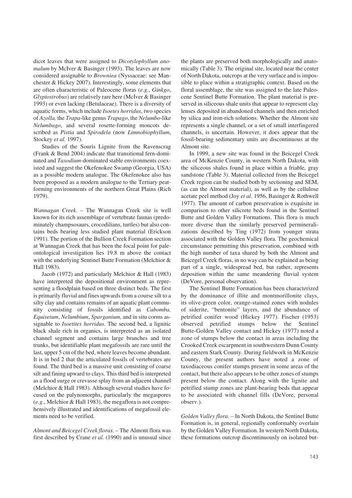dicot leaves that were assigned to *Dicotylophyllum anomalum* by McIver & Basinger (1993). The leaves are now considered assignable to *Browniea* (Nyssaceae: see Manchester & Hickey 2007). Interestingly, some elements that are often characteristic of Paleocene floras (*e.g.*, *Ginkgo*, *Glyptostrobus*) are relatively rare here (McIver & Basinger 1993) or even lacking (Betulaceae). There is a diversity of aquatic forms, which include *Isoetes horridus*, two species of *Azolla,* the *Trapa*-like genus *Trapago*, the *Nelumbo*-like *Nelumbago*, and several rosette-forming moncots described as *Pistia* and *Spirodela* (now *Limnobiophyllum*, Stockey *et al.* 1997).

Studies of the Souris Lignite from the Ravenscrag (Frank & Bend 2004) indicate that transitional fern-dominated and *Taxodium-*dominated stable environments coexisted and suggest the Okefenokee Swamp (Georgia, USA) as a possible modern analogue. The Okefenokee also has been proposed as a modern analogue to the Tertiary peatforming environments of the northern Great Plains (Rich 1979).

*Wannagan Creek*. – The Wannagan Creek site is well known for its rich assemblage of vertebrate faunas (predominately champsosaurs, crocodilians, turtles) but also contains beds bearing less studied plant material (Erickson 1991). The portion of the Bullion Creek Formation section at Wannagan Creek that has been the focal point for paleontological investigation lies 19.8 m above the contact with the underlying Sentinel Butte Formation (Melchior & Hall 1983).

Jacob (1972) and particularly Melchior & Hall (1983) have interpreted the depositional environment as representing a floodplain based on three distinct beds. The first is primarily fluvial and fines upwards from a course silt to a silty clay and contains remains of an aquatic plant community consisting of fossils identified as *Cabomba, Equisetum*, *Nelumbium*, *Sparganium,* and in situ corms assignable to *Isoetites horridus*. The second bed, a lignitic black shale rich in organics, is interpreted as an isolated channel segment and contains large branches and tree trunks, but identifiable plant megafossils are rare until the last, upper 5 cm of the bed, where leaves become abundant. It is in bed 2 that the articulated fossils of vertebrates are found. The third bed is a massive unit consisting of coarse silt and fining upward to clays. This third bed is interpreted as a flood surge or crevasse splay from an adjacent channel (Melchior & Hall 1983). Although several studies have focused on the palynomorphs, particularly the megaspores (*e.g*., Melchior & Hall 1983), the megaflora is not comprehensively illustrated and identifications of megafossil elements need to be verified.

*Almont and Beicegel Creek floras*. – The Almont flora was first described by Crane *et al.* (1990) and is unusual since the plants are preserved both morphologically and anatomically (Table 3). The original site, located near the center of North Dakota, outcrops at the very surface and is impossible to place within a stratigraphic context. Based on the floral assemblage, the site was assigned to the late Paleocene Sentinel Butte Formation. The plant material is preserved in siliceous shale units that appear to represent clay lenses deposited in abandoned channels and then enriched by silica and iron-rich solutions. Whether the Almont site represents a single channel, or a set of small interfingered channels, is uncertain. However, it does appear that the fossil-bearing sedimentary units are discontinuous at the Almont site.

In 1999, a new site was found in the Beicegel Creek area of McKenzie County, in western North Dakota, with the siliceous shales found in place within a friable, gray sandstone (Table 3). Material collected from the Beicegel Creek region can be studied both by sectioning and SEM, (as can the Almont material), as well as by the cellulose acetate peel method (Joy *et al*. 1956, Basinger & Rothwell 1977). The amount of carbon preservation is exquisite in comparison to other silicrete beds found in the Sentinel Butte and Golden Valley Formations. This flora is much more diverse than the similarly preserved permineralizations described by Ting (1972) from younger strata associated with the Golden Valley flora. The geochemical circumstance permitting this preservation, combined with the high number of taxa shared by both the Almont and Beicegel Creek floras, in no way can be explained as being part of a single, widespread bed, but rather, represents deposition within the same meandering fluvial system (DeVore, personal observation).

The Sentinel Butte Formation has been characterized by the dominance of illite and montmorillonite clays, its olive-green color, orange-stained zones with nodules of siderite, "bentonite" layers, and the abundance of petrified conifer wood (Hickey 1977). Fischer (1953) observed petrified stumps below the Sentinel Butte-Golden Valley contact and Hickey (1977) noted a zone of stumps below the contact in areas including the Crooked Creek escarpment in southwestern Dunn County and eastern Stark County. During fieldwork in McKenzie County, the present authors have noted a zone of taxodiaceous conifer stumps present in some areas of the contact, but there also appears to be other zones of stumps present below the contact. Along with the lignite and petrified stump zones are plant-bearing beds that appear to be associated with channel fills (DeVore, personal observ.).

*Golden Valley flora*. – In North Dakota, the Sentinel Butte Formation is, in general, regionally conformably overlain by the Golden Valley Formation. In western North Dakota, these formations outcrop discontinuously on isolated but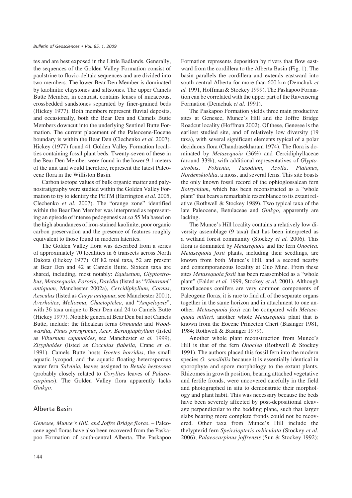tes and are best exposed in the Little Badlands. Generally, the sequences of the Golden Valley Formation consist of paulstrine to fluvio-deltaic sequences and are divided into two members. The lower Bear Den Member is dominated by kaolinitic claystones and siltstones. The upper Camels Butte Member, in contrast, contains lenses of micaceous, crossbedded sandstones separated by finer-grained beds (Hickey 1977). Both members represent fluvial deposits, and occasionally, both the Bear Den and Camels Butte Members downcut into the underlying Sentinel Butte Formation. The current placement of the Paleocene-Eocene boundary is within the Bear Den (Clechenko *et al.* 2007). Hickey (1977) found 41 Golden Valley Formation localities containing fossil plant beds. Twenty-seven of these in the Bear Den Member were found in the lower 9.1 meters of the unit and would therefore, represent the latest Paleocene flora in the Williston Basin.

Carbon isotope values of bulk organic matter and palynostratigraphy were studied within the Golden Valley Formation to try to identify the PETM (Harrington *et al.* 2005, Clechenko *et al.* 2007). The "orange zone" identified within the Bear Den Member was interpreted as representing an episode of intense pedogenesis at *ca* 55 Ma based on the high abundances of iron-stained kaolinite, poor organic carbon preservation and the presence of features roughly equivalent to those found in modern laterites.

The Golden Valley flora was described from a series of approximately 70 localities in 6 transects across North Dakota (Hickey 1977). Of 82 total taxa, 52 are present at Bear Den and 42 at Camels Butte. Sixteen taxa are shared, including, most notably: *Equisetum*, *Glyptostrobus*, *Metasequoia*, *Porosia*, *Davidia* (listed as "*Viburnum*" *antiquum,* Manchester 2002a), *Cercidiphyllum*, *Cornus*, *Aesculus* (listed as *Carya antiquua*; see Manchester 2001), *Averhoites*, *Meliosma*, *Chaetoptelea*, and "*Ampelopsis*", with 36 taxa unique to Bear Den and 24 to Camels Butte (Hickey 1977). Notable genera at Bear Den but not Camels Butte, include: the filicalean ferns *Osmunda* and *Woodwardia*, *Pinus prergrimus*, *Acer, Beringiaphyllum* (listed as *Viburnum cupanoides*, see Manchester *et al.* 1999), *Zizyphoides* (listed as *Cocculus flabella*, Crane *et al*. 1991). Camels Butte hosts *Isoetes horridus*, the small aquatic lycopod, and the aquatic floating heterosporous water fern *Salvinia*, leaves assigned to *Betula hesterena* (probably closely related to *Corylites* leaves of *Palaeocarpinus*). The Golden Valley flora apparently lacks *Ginkgo*.

## Alberta Basin

*Genesee, Munce's Hill, and Joffre Bridge floras*. – Paleocene aged floras have also been recovered from the Paskapoo Formation of south-central Alberta. The Paskapoo Formation represents deposition by rivers that flow eastward from the cordillera to the Alberta Basin (Fig. 1). The basin parallels the cordillera and extends eastward into south-central Alberta for more than 600 km (Demchuk *et al.* 1991, Hoffman & Stockey 1999). The Paskapoo Formation can be correlated with the upper part of the Ravenscrag Formation (Demchuk *et al.* 1991).

The Paskapoo Formation yields three main productive sites at Genesee, Munce's Hill and the Joffre Bridge Roadcut locality (Hoffman 2002). Of these, Genesee is the earliest studied site, and of relatively low diversity (19 taxa), with several significant elements typical of a polar deciduous flora (Chandrasekharam 1974). The flora is dominated by *Metasequoia* (36%) and Cercidiphyllaceae (around 33%), with additional representatives of *Glyptostrobus*, *Fokienia*, *Taxodium*, *Azolla*, *Platanus*, *Nordenskioldia*, a moss, and several ferns. This site boasts the only known fossil record of the ophioglossalean fern *Botrychium*, which has been reconstructed as a "whole plant" that bears a remarkable resemblance to its extant relative (Rothwell & Stockey 1989). Two typical taxa of the late Paleocene, Betulaceae and *Ginkgo,* apparently are lacking.

The Munce's Hill locality contains a relatively low diversity assemblage (9 taxa) that has been interpreted as a wetland forest community (Stockey *et al.* 2006). This flora is dominated by *Metasequoia* and the fern *Onoclea. Metasequoia foxii* plants, including their seedlings, are known from both Munce's Hill, and a second nearby and contemporaneous locality at Guo Mine. From these sites *Metasequoia foxii* has been reassembled as a "whole plant" (Falder *et al.* 1999, Stockey *et al.* 2001). Although taxodiaceous conifers are very common components of Paleogene floras, it is rare to find all of the separate organs together in the same horizon and in attachment to one another. *Metasequoia foxii* can be compared with *Metasequoia milleri,* another whole *Metasequoia* plant that is known from the Eocene Princeton Chert (Basinger 1981, 1984; Rothwell & Basinger 1979).

Another whole plant reconstruction from Munce's Hill is that of the fern *Onoclea* (Rothwell & Stockey 1991). The authors placed this fossil fern into the modern species *O. sensibilis* because it is essentially identical in sporophyte and spore morphology to the extant plants. Rhizomes in growth position, bearing attached vegetative and fertile fronds, were uncovered carefully in the field and photographed in situ to demonstrate their morphology and plant habit. This was necessary because the beds have been severely affected by post-depositional cleavage perpendicular to the bedding plane, such that larger slabs bearing more complete fronds could not be recovered. Other taxa from Munce's Hill include the thelypterid fern *Speirsiopteris orbiculata* (Stockey *et al.* 2006); *Palaeocarpinus joffrensis* (Sun & Stockey 1992);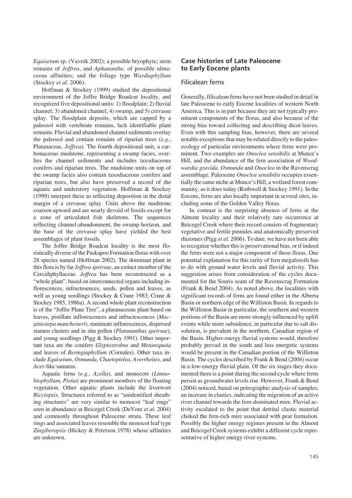*Equisetum* sp. (Vavrek 2002); a possible bryophyte; stem remains of *Joffrea*, and *Aphananthe*, of possible ulmaceous affinities; and the foliage type *Wardiaphyllum* (Stockey *et al.* 2006).

Hoffman & Stockey (1999) studied the depositional environment of the Joffre Bridge Roadcut locality, and recognized five depositional units: 1) floodplain; 2) fluvial channel; 3) abandoned channel; 4) swamp, and 5) crevasse splay. The floodplain deposits, which are capped by a paleosol with vertebrate remains, lack identifiable plant remains. Fluvial and abandoned channel sediments overlay the paleosol and contain remains of riparian trees (*e.g.*, Platanaceae, *Joffrea*). The fourth depositional unit, a carbonaceous mudstone, representing a swamp facies, overlies the channel sediments and includes taxodiaceous conifers and riparian trees. The mudstone units on top of the swamp facies also contain taxodiaceous conifers and riparian trees, but also have preserved a record of the aquatic and understory vegetation. Hoffman & Stockey (1999) interpret these as reflecting deposition in the distal margin of a crevasse splay. Units above the mudstone coarsen upward and are nearly devoid of fossils except for a zone of articulated fish skeletons. The sequences reflecting channel-abandonment, the swamp horizon, and the base of the crevasse splay have yielded the best assemblages of plant fossils.

The Joffre Bridge Roadcut locality is the most floristically diverse of the Paskapoo Formation floras with over 28 species named (Hoffman 2002). The dominant plant in this flora is by far *Joffrea speirsae*, an extinct member of the Cercidiphyllaceae. *Joffrea* has been reconstructed as a "whole plant", based on interconnected organs including inflorescences, infructesences, seeds, pollen and leaves, as well as young seedlings (Stockey & Crane 1983; Crane & Stockey 1985, 1986a). A second whole plant reconstruction is of the "Joffre Plane Tree", a platanaceous plant based on leaves, pistillate inflorescences and infructescences (*Macginicarpa manchesteri*), staminate inflorescences, dispersed stamen clusters and in situ pollen (*Platananthus speirsae*), and young seedlings (Pigg & Stockey 1991). Other important taxa are the conifers *Glyptostrobus* and *Metasequoia* and leaves of *Beringiaphyllum* (Cornales). Other taxa include *Equisetum*, *Osmunda*, *Chaetoptelea, Averrhoites,* and *Acer-*like samaras.

Aquatic ferns (*e.g.*, *Azolla*), and monocots (*Limnobiophyllum, Pistia*) are prominent members of the floating vegetation. Other aquatic plants include the liverwort *Ricciopsis.* Structures referred to as "unidentified sheathing structures" are very similar to monocot "leaf rings" seen in abundance at Beicegel Creek (DeVore *et al.* 2004) and commonly throughout Paleocene strata. These leaf rings and associated leaves resemble the monocot leaf type *Zingiberopsis* (Hickey & Peterson 1978) whose affinities are unknown.

# **Case histories of Late Paleocene to Early Eocene plants**

## Filicalean ferns

Generally, filicalean ferns have not been studied in detail in late Paleocene to early Eocene localities of western North America. This is in part because they are not typically prominent components of the floras, and also because of the strong bias toward collecting and describing dicot leaves. Even with this sampling bias, however, there are several notable exceptions that may be related directly to the paleoecology of particular environments where ferns were prominent. Two examples are *Onoclea sensibilis* at Munce's Hill, and the abundance of the fern association of *Woodwardia gravida, Osmunda* and *Onoclea* in the Ravenscrag assemblage. Paleocene *Onoclea sensibilis* occupies essentially the same niche at Munce's Hill, a wetland forest community, as it does today (Rothwell & Stockey 1991). In the Eocene, ferns are also locally important in several sites, including some of the Golden Valley floras.

In contrast is the surprising absence of ferns at the Almont locality and their relatively rare occurrence at Beicegel Creek where their record consists of fragmentary vegetative and fertile pinnules and anatomically preserved rhizomes (Pigg *et al.* 2006). To date, we have not been able to recognize whether this is preservational bias, or if indeed the ferns were not a major component of these floras. One potential explanation for this rarity of fern megafossils has to do with ground water levels and fluvial activity. This suggestion arises from consideration of the cycles documented for the Souris seam of the Ravenscrag Formation (Frank & Bend 2004). As noted above, the localities with significant records of ferns are found either in the Alberta Basin or northern edge of the Williston Basin. In regards to the Williston Basin in particular, the southern and western portions of the Basin are more strongly influenced by uplift events while more subsidence, in particular due to salt dissolution, is prevalent in the northern, Canadian region of the Basin. Higher-energy fluvial systems would, therefore probably prevail in the south and less energetic systems would be present in the Canadian portion of the Williston Basin. The cycles described by Frank & Bend (2004) occur in a low-energy fluvial plain. Of the six stages they documented there is a point during the second cycle where ferns persist as groundwater levels rise. However, Frank & Bend (2004) noticed, based on petrographic analysis of samples, an increase in clastics, indicating the migration of an active river channel towards the fern-dominated mire. Fluvial activity escalated to the point that detrital clastic material choked the fern-rich mire associated with peat formation. Possibly the higher energy regimes present in the Almont and Beicegel Creek systems exhibit a different cycle representative of higher energy river systems.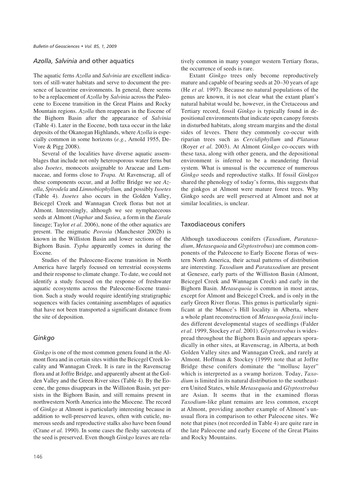## A*zolla, Salvinia* and other aquatics

The aquatic ferns *Azolla* and *Salvinia* are excellent indicators of still-water habitats and serve to document the presence of lacustrine environments. In general, there seems to be a replacement of *Azolla* by *Salvinia* across the Paleocene to Eocene transition in the Great Plains and Rocky Mountain regions. *Azolla* then reappears in the Eocene of the Bighorn Basin after the appearance of *Salvinia* (Table 4). Later in the Eocene, both taxa occur in the lake deposits of the Okanogan Highlands, where *Azolla* is especially common in some horizons (*e.g.*, Arnold 1955, De-Vore & Pigg 2008).

Several of the localities have diverse aquatic assemblages that include not only heterosporous water ferns but also *Isoetes*, monocots assignable to Araceae and Lemnaceae, and forms close to *Trapa.* At Ravenscrag, all of these components occur, and at Joffre Bridge we see *Azolla*, *Spirodela* and *Limnobiophyllum,* and possibly *Isoetes* (Table 4). *Isoetes* also occurs in the Golden Valley, Beicegel Creek and Wannagan Creek floras but not at Almont. Interestingly, although we see nymphaeceous seeds at Almont (*Nuphar* and *Susiea*, a form in the *Eurale* lineage; Taylor *et al*. 2006), none of the other aquatics are present. The enigmatic *Porosia* (Manchester 2002b) is known in the Williston Basin and lower sections of the Bighorn Basin. *Typha* apparently comes in during the Eocene.

Studies of the Paleocene-Eocene transition in North America have largely focused on terrestrial ecosystems and their response to climate change. To date, we could not identify a study focused on the response of freshwater aquatic ecosystems across the Paleocene-Eocene transition. Such a study would require identifying stratigraphic sequences with facies containing assemblages of aquatics that have not been transported a significant distance from the site of deposition.

# Ginkgo

*Ginkgo* is one of the most common genera found in the Almont flora and in certain sites within the Beicegel Creek locality and Wannagan Creek. It is rare in the Ravenscrag flora and at Joffre Bridge, and apparently absent at the Golden Valley and the Green River sites (Table 4). By the Eocene, the genus disappears in the Williston Basin, yet persists in the Bighorn Basin, and still remains present in northwestern North America into the Miocene. The record of *Ginkgo* at Almont is particularly interesting because in addition to well-preserved leaves, often with cuticle, numerous seeds and reproductive stalks also have been found (Crane *et al.* 1990). In some cases the fleshy sarcotesta of the seed is preserved. Even though *Ginkgo* leaves are relatively common in many younger western Tertiary floras, the occurrence of seeds is rare.

Extant *Ginkgo* trees only become reproductively mature and capable of bearing seeds at 20–30 years of age (He *et al.* 1997). Because no natural populations of the genus are known, it is not clear what the extant plant's natural habitat would be, however, in the Cretaceous and Tertiary record, fossil *Ginkgo* is typically found in depositional environments that indicate open canopy forests in disturbed habitats, along stream margins and the distal sides of levees. There they commonly co-occur with riparian trees such as *Cercidiphyllum* and *Platanus* (Royer *et al.* 2003). At Almont *Ginkgo* co-occurs with these taxa, along with other genera, and the depositional environment is inferred to be a meandering fluvial system. What is unusual is the occurrence of numerous *Ginkgo* seeds and reproductive stalks. If fossil *Ginkgos* shared the phenology of today's forms, this suggests that the ginkgos at Almont were mature forest trees. Why Ginkgo seeds are well preserved at Almont and not at similar localities, is unclear.

# Taxodiaceous conifers

Although taxodiaceous conifers (*Taxodium*, *Parataxodium*, *Metasequoia* and *Glyptostrobus*) are common components of the Paleocene to Early Eocene floras of western North America, their actual patterns of distribution are interesting. *Taxodium* and *Parataxodium* are present at Genesee, early parts of the Williston Basin (Almont, Beicegel Creek and Wannagan Creek) and early in the Bighorn Basin. *Metasequoia* is common in most areas, except for Almont and Beicegel Creek, and is only in the early Green River floras. This genus is particularly significant at the Munce's Hill locality in Alberta, where a whole plant reconstruction of *Metasequoia foxii* includes different developmental stages of seedlings (Falder *et al.* 1999, Stockey *et al.* 2001). *Glyptostrobus* is widespread throughout the Bighorn Basin and appears sporadically in other sites, at Ravenscrag, in Alberta, at both Golden Valley sites and Wannagan Creek, and rarely at Almont. Hoffman & Stockey (1999) note that at Joffre Bridge these conifers dominate the "mollusc layer" which is interpreted as a swamp horizon. Today, *Taxodium* is limited in its natural distribution to the southeastern United States, while *Metasequoia* and *Glyptostrobus* are Asian. It seems that in the examined floras *Taxodium*-like plant remains are less common, except at Almont, providing another example of Almont's unusual flora in comparison to other Paleocene sites. We note that pines (not recorded in Table 4) are quite rare in the late Paleocene and early Eocene of the Great Plains and Rocky Mountains.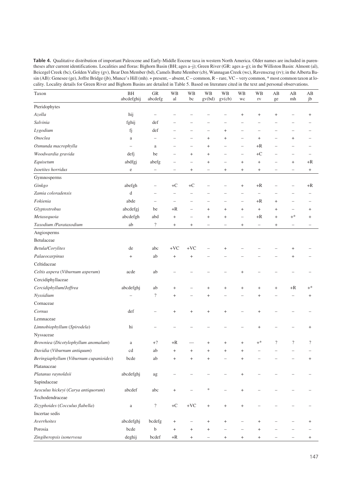Table 4. Qualitative distribution of important Paleocene and Early-Middle Eocene taxa in western North America. Older names are included in parentheses after current identifications. Localities and floras: Bighorn Basin (BH; ages a–j); Green River (GR: ages a–g); in the Williston Basin: Almont (al), Beicegel Creek (bc), Golden Valley (gv), Bear Den Member (bd), Camels Butte Member (cb), Wannagan Creek (wc), Ravenscrag (rv); in the Alberta Basin (AB): Genesee (ge), Joffre Bridge (jb), Munce's Hill (mh). + present, - absent, C - common, R - rare, VC - very common, \* most common taxon at locality. Locality details for Green River and Bighorn Basins are detailed in Table 5. Based on literature cited in the text and personal observations.

| Taxon                                  | $\rm BH$<br>abcdefghij           | ${\rm GR}$<br>abcdefg    | <b>WB</b><br>al          | WB<br>bc                 | <b>WB</b><br>gv(bd)              | <b>WB</b><br>gv(cb)              | <b>WB</b><br>wc                  | <b>WB</b><br>$\Gamma \mathrm{V}$ | AB<br>ge                         | $\mathbf{A}\mathbf{B}$<br>mh | AB<br>jb                         |
|----------------------------------------|----------------------------------|--------------------------|--------------------------|--------------------------|----------------------------------|----------------------------------|----------------------------------|----------------------------------|----------------------------------|------------------------------|----------------------------------|
| Pteridophytes                          |                                  |                          |                          |                          |                                  |                                  |                                  |                                  |                                  |                              |                                  |
| Azolla                                 | hij                              | $\overline{\phantom{0}}$ |                          |                          |                                  |                                  | $^{+}$                           | $\begin{array}{c} + \end{array}$ | $^{+}$                           |                              | $^{+}$                           |
| Salvinia                               | fghij                            | def                      |                          |                          |                                  |                                  |                                  |                                  |                                  |                              |                                  |
| Lygodium                               | fj                               | def                      | $\overline{\phantom{0}}$ | $\overline{\phantom{0}}$ | $\overline{\phantom{0}}$         | $^{+}$                           | $\overline{\phantom{0}}$         | $\overline{\phantom{0}}$         |                                  | $\overline{\phantom{0}}$     |                                  |
| Onoclea                                | a                                |                          |                          | $\overline{\phantom{0}}$ | $^{+}$                           | $^{+}$                           | $\overline{\phantom{0}}$         | $\begin{array}{c} + \end{array}$ |                                  | $^{+}$                       |                                  |
| Osmunda macrophylla                    |                                  | $\rm{a}$                 |                          | $\overline{\phantom{0}}$ | $^{+}$                           |                                  | $\overline{\phantom{0}}$         | $+R$                             |                                  |                              |                                  |
| Woodwardia gravida                     | defj                             | be                       |                          | $^{+}$                   | $\begin{array}{c} + \end{array}$ | $\overline{\phantom{0}}$         | -                                | $+C$                             |                                  | -                            |                                  |
| Equisetum                              | abdfgj                           | abefg                    | $\overline{\phantom{0}}$ | $\overline{\phantom{0}}$ | $^{+}$                           |                                  | $^{+}$                           | $^{+}$                           |                                  | $^{+}$                       | $+R$                             |
| Isoetites horridus                     | $\rm e$                          | $\overline{\phantom{0}}$ |                          | $^{+}$                   | $\overline{\phantom{0}}$         | $^{+}$                           | $\begin{array}{c} + \end{array}$ | $^{+}$                           |                                  | $\overline{\phantom{0}}$     | $\begin{array}{c} + \end{array}$ |
| Gymnosperms                            |                                  |                          |                          |                          |                                  |                                  |                                  |                                  |                                  |                              |                                  |
| Ginkgo                                 | abefgh                           | $\overline{\phantom{0}}$ | $+C$                     | $+C$                     |                                  |                                  | $\ddot{}$                        | $+R$                             |                                  |                              | $+R$                             |
| Zamia coloradensis                     | d                                |                          | $\overline{\phantom{0}}$ | $\overline{\phantom{a}}$ |                                  |                                  | $\overline{\phantom{0}}$         | $\overline{\phantom{0}}$         |                                  |                              |                                  |
| Fokienia                               | abde                             | $\overline{\phantom{0}}$ | $\overline{a}$           | -                        |                                  |                                  | $\overline{\phantom{0}}$         | +R                               | $\begin{array}{c} + \end{array}$ | $\overline{\phantom{0}}$     |                                  |
| Glyptostrobus                          | abcdefgj                         | be                       | $+R$                     | $\overline{\phantom{0}}$ | $^{+}$                           | $^{+}$                           | $^{+}$                           | $^{+}$                           | $\begin{array}{c} + \end{array}$ | $\overline{\phantom{0}}$     | $^{+}$                           |
| Metasequoia                            | abcdefgh                         | abd                      | $^{+}$                   | -                        | $\begin{array}{c} + \end{array}$ | $\begin{array}{c} + \end{array}$ | $\overline{\phantom{0}}$         | $+R$                             | $\! + \!\!\!\!$                  | $+^{\ast}$                   | $\,^+$                           |
| Taxodium /Parataxodium                 | ab                               | $\overline{\mathcal{L}}$ | $^{+}$                   | $^{+}$                   | $\overline{\phantom{0}}$         | $\overline{a}$                   | $^{+}$                           | $\qquad \qquad -$                | $^{+}$                           | $\overline{\phantom{0}}$     | -                                |
| Angiosperms                            |                                  |                          |                          |                          |                                  |                                  |                                  |                                  |                                  |                              |                                  |
| Betulaceae                             |                                  |                          |                          |                          |                                  |                                  |                                  |                                  |                                  |                              |                                  |
| Betula/Corylites                       | de                               | abc                      | $+VC$                    | $+VC$                    |                                  | $\ddot{}$                        |                                  |                                  |                                  | $\ddag$                      |                                  |
| Palaeocarpinus                         | $\begin{array}{c} + \end{array}$ | ab                       | $^{+}$                   | $^{+}$                   |                                  |                                  |                                  |                                  |                                  | $^{+}$                       |                                  |
| Celtidaceae                            |                                  |                          |                          |                          |                                  |                                  |                                  |                                  |                                  |                              |                                  |
| Celtis aspera (Viburnum asperum)       | acde                             | ab                       |                          |                          |                                  |                                  | $\ddot{}$                        |                                  |                                  |                              |                                  |
| Cercidiphyllaceae                      |                                  |                          |                          |                          |                                  |                                  |                                  |                                  |                                  |                              |                                  |
| Cercidiphyllum/Joffrea                 | abcdefghj                        | ab                       | $\ddag$                  |                          | $\,^+$                           | $\ddot{}$                        | $\ddot{}$                        | $^{+}$                           | $\qquad \qquad +$                | $+R$                         | $+^*$                            |
| Nyssidium                              |                                  | $\overline{\mathcal{L}}$ | $^{+}$                   |                          | $^{+}$                           |                                  |                                  | $\ddot{}$                        |                                  |                              | $^{+}$                           |
| Cornaceae                              |                                  |                          |                          |                          |                                  |                                  |                                  |                                  |                                  |                              |                                  |
| Cornus                                 | def                              |                          | $^{+}$                   | $^{+}$                   | $^{+}$                           | $^{+}$                           |                                  | $^{+}$                           |                                  |                              |                                  |
| Lemnaceae                              |                                  |                          |                          |                          |                                  |                                  |                                  |                                  |                                  |                              |                                  |
| Limnobiophyllum (Spirodela)            | hi                               |                          |                          |                          |                                  |                                  |                                  | $^{+}$                           |                                  |                              | $\,^+$                           |
| Nyssaceae                              |                                  |                          |                          |                          |                                  |                                  |                                  |                                  |                                  |                              |                                  |
| Browniea (Dicotylophyllum anomalum)    | $\rm{a}$                         | $+?$                     | +R                       |                          | $^+$                             | $\ddot{}$                        | $^{+}$                           | $+^*$                            | $\overline{\mathcal{L}}$         | $\cdot$                      | $\overline{\cdot}$               |
| Davidia (Viburnum antiquum)            | cd                               | ab                       | $^{+}$                   | $\ddot{}$                | $^{+}$                           | $^{+}$                           | $\ddot{}$                        |                                  |                                  |                              |                                  |
| Beringiaphyllum (Viburnum cupanioides) | bcde                             | ab                       |                          |                          |                                  |                                  |                                  |                                  |                                  |                              |                                  |
| Platanaceae                            |                                  |                          |                          |                          |                                  |                                  |                                  |                                  |                                  |                              |                                  |
| Platanus raynoldsii                    | abcdefghj                        | $\rm ag$                 |                          |                          |                                  |                                  | $^{+}$                           |                                  |                                  |                              |                                  |
| Sapindaceae                            |                                  |                          |                          |                          |                                  |                                  |                                  |                                  |                                  |                              |                                  |
| Aesculus hickeyi (Carya antiquorum)    | abcdef                           | abc                      | $^{+}$                   |                          | $\ast$                           |                                  | $\ddot{}$                        |                                  |                                  |                              |                                  |
| Tochodendraceae                        |                                  |                          |                          |                          |                                  |                                  |                                  |                                  |                                  |                              |                                  |
| Zizyphoides (Cocculus flabella)        | $\rm{a}$                         | $\overline{\mathcal{L}}$ | $+{\rm C}$               | $+\mathbf{VC}$           | $^{+}$                           | $\! + \!$                        | $\begin{array}{c} + \end{array}$ |                                  |                                  |                              |                                  |
| Incertae sedis                         |                                  |                          |                          |                          |                                  |                                  |                                  |                                  |                                  |                              |                                  |
| Averrhoites                            | abcdefghj                        | bcdefg                   | $^{+}$                   | $\overline{\phantom{0}}$ | $^+$                             | $\begin{array}{c} + \end{array}$ |                                  | $\begin{array}{c} + \end{array}$ |                                  |                              |                                  |
| Porosia                                | bcde                             | $\mathbf b$              | $^{+}$                   | $^{+}$                   | $^{+}$                           |                                  |                                  | $^{+}$                           |                                  |                              |                                  |
| Zingiberopsis isonervosa               | deghij                           | bcdef                    | $+R$                     | $^{+}$                   | $\overbrace{\phantom{1232211}}$  | $\begin{array}{c} + \end{array}$ | $^{+}$                           | $^{+}$                           |                                  | $\overline{\phantom{0}}$     | $^{+}$                           |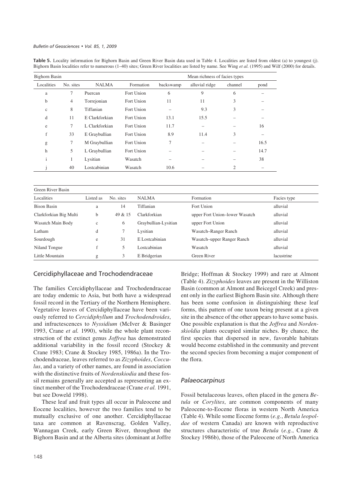Table 5. Locality information for Bighorn Basin and Green River Basin data used in Table 4. Localities are listed from oldest (a) to youngest (j). Bighorn Basin localities refer to numerous (1–40) sites; Green River localities are listed by name. See Wing *et al.* (1995) and Wilf (2000) for details.

| <b>Bighorn Basin</b> |                |                |            | Mean richness of facies types |                |         |      |  |
|----------------------|----------------|----------------|------------|-------------------------------|----------------|---------|------|--|
| Localities           | No. sites      | <b>NALMA</b>   | Formation  | backswamp                     | alluvial ridge | channel | pond |  |
| a                    | 7              | Puercan        | Fort Union | 6                             | 9              | 6       |      |  |
| b                    | $\overline{4}$ | Torrejonian    | Fort Union | 11                            | 11             | 3       |      |  |
| $\mathbf{C}$         | 8              | Tiffanian      | Fort Union |                               | 9.3            | 3       |      |  |
| d                    | 11             | E Clarkforkian | Fort Union | 13.1                          | 15.5           |         |      |  |
| e                    | 7              | L Clarkforkian | Fort Union | 11.7                          |                |         | 16   |  |
| f                    | 33             | E Graybullian  | Fort Union | 8.9                           | 11.4           | 3       |      |  |
| g                    | 7              | M Graybullian  | Fort Union | 7                             |                |         | 16.5 |  |
| h                    | 5              | L Graybullian  | Fort Union |                               |                |         | 14.7 |  |
| $\mathbf{i}$         | 1              | Lysitian       | Wasatch    |                               |                |         | 38   |  |
|                      | 40             | Lostcabinian   | Wasatch    | 10.6                          |                | 2       |      |  |

| Green River Basin      |             |           |                      |                                |             |  |  |  |  |
|------------------------|-------------|-----------|----------------------|--------------------------------|-------------|--|--|--|--|
| Localities             | Listed as   | No. sites | <b>NALMA</b>         | Formation                      | Facies type |  |  |  |  |
| <b>Bison Basin</b>     | a           | 14        | Tiffanian            | Fort Union                     | alluvial    |  |  |  |  |
| Clarkforkian Big Multi | b           | 49 & 15   | Clarkforkian         | upper Fort Union-lower Wasatch | alluvial    |  |  |  |  |
| Wasatch Main Body      | $\mathbf c$ | 6         | Graybullian-Lysitian | upper Fort Union               | alluvial    |  |  |  |  |
| Latham                 | d           | 7         | Lysitian             | Wasatch-Ranger Ranch           | alluvial    |  |  |  |  |
| Sourdough              | e           | 31        | E Lostcabinian       | Wasatch-upper Ranger Ranch     | alluvial    |  |  |  |  |
| Niland Tongue          |             | 5         | Lostcabinian         | Wasatch                        | alluvial    |  |  |  |  |
| Little Mountain        | g           | 3         | E Bridgerian         | Green River                    | lacustrine  |  |  |  |  |

## Cercidiphyllaceae and Trochodendraceae

The families Cercidiphyllaceae and Trochodendraceae are today endemic to Asia, but both have a widespread fossil record in the Tertiary of the Northern Hemisphere. Vegetative leaves of Cercidiphyllaceae have been variously referred to *Cercidiphyllum* and *Trochodendroides*, and infructescences to *Nyssidium* (McIver & Basinger 1993, Crane *et al.* 1990), while the whole plant reconstruction of the extinct genus *Joffrea* has demonstrated additional variability in the fossil record (Stockey & Crane 1983; Crane & Stockey 1985, 1986a). In the Trochodendraceae, leaves referred to as *Zizyphoides*, *Cocculus*, and a variety of other names, are found in association with the distinctive fruits of *Nordenskiodia* and these fossil remains generally are accepted as representing an extinct member of the Trochodendraceae (Crane *et al.* 1991, but see Doweld 1998).

These leaf and fruit types all occur in Paleocene and Eocene localities, however the two families tend to be mutually exclusive of one another. Cercidiphyllaceae taxa are common at Ravenscrag, Golden Valley, Wannagan Creek, early Green River, throughout the Bighorn Basin and at the Alberta sites (dominant at Joffre Bridge; Hoffman & Stockey 1999) and rare at Almont (Table 4). *Zizyphoides* leaves are present in the Williston Basin (common at Almont and Beicegel Creek) and present only in the earliest Bighorn Basin site. Although there has been some confusion in distinguishing these leaf forms, this pattern of one taxon being present at a given site in the absence of the other appears to have some basis. One possible explanation is that the *Joffrea* and *Nordenskioldia* plants occupied similar niches. By chance, the first species that dispersed in new, favorable habitats would become established in the community and prevent the second species from becoming a major component of the flora.

## *Palaeocarpinus*

Fossil betulaceous leaves, often placed in the genera *Betula* or *Corylites*, are common components of many Paleocene-to-Eocene floras in western North America (Table 4). While some Eocene forms (*e.g.*, *Betula leopoldae* of western Canada) are known with reproductive structures characteristic of true *Betula* (*e.g.*, Crane & Stockey 1986b), those of the Paleocene of North America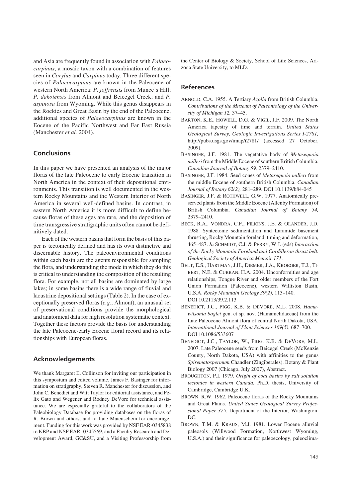and Asia are frequently found in association with *Palaeocarpinus*, a mosaic taxon with a combination of features seen in *Corylus* and *Carpinus* today. Three different species of *Palaeocarpinus* are known in the Paleocene of western North America: *P. joffrensis* from Munce's Hill; *P. dakotensis* from Almont and Beicegel Creek; and *P. aspinosa* from Wyoming. While this genus disappears in the Rockies and Great Basin by the end of the Paleocene, additional species of *Palaeocarpinus* are known in the Eocene of the Pacific Northwest and Far East Russia (Manchester *et al.* 2004).

# **Conclusions**

In this paper we have presented an analysis of the major floras of the late Paleocene to early Eocene transition in North America in the context of their depositional environments. This transition is well documented in the western Rocky Mountains and the Western Interior of North America in several well-defined basins. In contrast, in eastern North America it is more difficult to define because floras of these ages are rare, and the deposition of time transgressive stratigraphic units often cannot be definitively dated.

Each of the western basins that form the basis of this paper is tectonically defined and has its own distinctive and discernable history. The paleoenvironmental conditions within each basin are the agents responsible for sampling the flora, and understanding the mode in which they do this is critical to understanding the composition of the resulting flora. For example, not all basins are dominated by large lakes; in some basins there is a wide range of fluvial and lacustrine depositional settings (Table 2). In the case of exceptionally preserved floras (*e.g.*, Almont), an unusual set of preservational conditions provide the morphological and anatomical data for high resolution systematic context. Together these factors provide the basis for understanding the late Paleocene-early Eocene floral record and its relationships with European floras.

## **Acknowledgements**

We thank Margaret E. Collinson for inviting our participation in this symposium and edited volume, James F. Basinger for information on stratigraphy, Steven R. Manchester for discussion, and John C. Benedict and Witt Taylor for editorial assistance, and Felix Gato and Wegener and Rodney DeVore for technical assistance. We are especially grateful to the collaborators of the Paleobiology Database for providing databases on the floras of R. Brown and others, and to Jane Maienschein for encouragement. Funding for this work was provided by NSF EAR-0345838 to KBP and NSF EAR- 0345569, and a Faculty Research and Development Award, GC&SU, and a Visiting Professorship from the Center of Biology & Society, School of Life Sciences, Arizona State University, to MLD.

# **References**

- ARNOLD, C.A. 1955. A Tertiary *Azolla* from British Columbia. *Contributions of the Museum of Paleontology of the University of Michigan 12,* 37–45.
- BARTON, K.E., HOWELL, D.G. & VIGIL, J.F. 2009. The North America tapestry of time and terrain. *United States Geological Survey, Geologic Investigations Series I-2781,* http://pubs.usgs.gov/imap/i2781/ (accessed 27 October, 2009).
- BASINGER, J.F. 1981. The vegetative body of *Metasequoia milleri* from the Middle Eocene of southern British Columbia. *Canadian Journal of Botany 59,* 2379–2410.
- BASINGER, J.F. 1984. Seed cones of *Metasequoia milleri* from the middle Eocene of southern British Columbia. *Canadian Journal of Botany 62(2),* 281–289. DOI 10.1139/b84-045
- BASINGER, J.F. & ROTHWELL, G.W. 1977. Anatomically preserved plants from the Middle Eocene (Allenby Formation) of British Columbia. *Canadian Journal of Botany 54,* 2379–2410.
- BECK, R.A., VONDRA, C.F., FILKINS, J.E. & OLANDER, J.D. 1988. Syntectonic sedimentation and Laramide basement thrusting, Rocky Mountain foreland: timing and deformation, 465–487. *In* SCHMIDT, C.J. & PERRY, W.J. (eds) *Interaction of the Rocky Mountain Foreland and Cordilleran thrust belt. Geological Society of America Memoir 171*.
- BELT, E.S., HARTMAN, J.H., DIEMER, J.A., KROEGER, T.J., TI-BERT, N.E. & CURRAN, H.A. 2004. Unconformities and age relationships, Tongue River and older members of the Fort Union Formation (Paleocene), western Williston Basin, U.S.A. *Rocky Mountain Geology 39(2),* 113–140. DOI 10.2113/39.2.113
- BENEDICT, J.C., PIGG, K.B. & DEVORE, M.L. 2008. *Hamawilsonia boglei* gen. et sp. nov. (Hamamelidaceae) from the Late Paleocene Almont flora of central North Dakota, USA. *International Journal of Plant Sciences 169(5)*, 687–700. DOI 10.1086/533607
- BENEDICT, J.C., TAYLOR, W., PIGG, K.B. & DEVORE, M.L. 2007. Late Paleocene seeds from Beicegel Creek (McKenzie County, North Dakota, USA) with affinities to the genus *Spirematospermum* Chandler (Zingiberales). Botany & Plant Biology 2007 (Chicago, July 2007), Abstract.
- BROUGHTON, P.I. 1979. *Origin of coal basins by salt solution tectonics in western Canada.* Ph.D. thesis, University of Cambridge, Cambridge U.K.
- BROWN, R.W. 1962. Paleocene floras of the Rocky Mountains and Great Plains. *United States Geological Survey Professional Paper 375.* Department of the Interior, Washington, DC.
- BROWN, T.M. & KRAUS, M.J. 1981. Lower Eocene alluvial paleosols (Willwood Formation, Northwest Wyoming, U.S.A.) and their significance for paleoecology, paleoclima-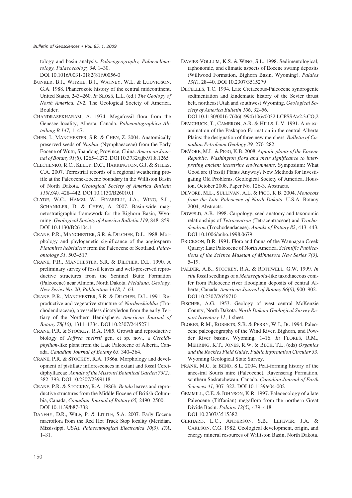tology and basin analysis. *Palaeogeography, Palaeoclimatology, Palaeoecology 34,* 1–30.

DOI 10.1016/0031-0182(81)90056-0

- BUNKER, B.J., WITZKE, B.J., WATNEY, W.L. & LUDVIGSON, G.A. 1988. Phanerozoic history of the central midcontinent, United States, 243–260. *In* SLOSS, L.L. (ed.) *The Geology of North America, D-2.* The Geological Society of America, Boulder.
- CHANDRASEKHARAM, A. 1974. Megafossil flora from the Genesee locality, Alberta, Canada. *Palaeontographica Abteilung B 147,* 1–47.
- CHEN, I., MANCHESTER, S.R. & CHEN, Z. 2004. Anatomically preserved seeds of *Nuphar* (Nymphaeaceae) from the Early Eocene of Wutu, Shandong Province, China. *American Journal of Botany 91(8),* 1265–1272. DOI 10.3732/ajb.91.8.1265
- CLECHENKO, R.C., KELLY, D.C., HARRINGTON, G.J. & STILES, C.A. 2007. Terrestrial records of a regional weathering profile at the Paleocene-Eocene boundary in the Williston Basin of North Dakota. *Geological Society of America Bulletin 119(3/4),* 428–442. DOI 10.1130/B26010.1
- CLYDE, W.C., HAMZI, W., FINARELLI, J.A., WING, S.L., SCHANKLER, D. & CHEW, A. 2007. Basin-wide magnetostratigraphic framework for the Bighorn Basin, Wyoming. *Geological Society of America Bulletin 119,* 848–859. DOI 10.1130/B26104.1
- CRANE, P.R., MANCHESTER, S.R. & DILCHER, D.L. 1988. Morphology and phylogenetic significance of the angiosperm *Platanites hebridicus* from the Paleocene of Scotland. *Palaeontology 31,* 503–517.
- CRANE, P.R., MANCHESTER, S.R. & DILCHER, D.L. 1990. A preliminary survey of fossil leaves and well-preserved reproductive structures from the Sentinel Butte Formation (Paleocene) near Almont, North Dakota. *Fieldiana, Geology, New Series No. 20, Publication 1418, 1–63.*
- CRANE, P.R., MANCHESTER, S.R. & DILCHER, D.L. 1991. Reproductive and vegetative structure of *Nordenskioldia* (Trochodendraceae), a vesselless dicotyledon from the early Tertiary of the Northern Hemisphere. *American Journal of Botany 78(10),* 1311–1334. DOI 10.2307/2445271
- CRANE, P.R. & STOCKEY, R.A. 1985. Growth and reproductive biology of *Joffrea speirsii* gen. et sp. nov., a *Cercidiphyllum*-like plant from the Late Paleocene of Alberta, Canada. *Canadian Journal of Botany 63,* 340–364.
- CRANE, P.R. & STOCKEY, R.A. 1986a. Morphology and development of pistillate inflorescences in extant and fossil Cercidiphyllaceae. *Annals of the Missouri Botanical Garden 73(2),* 382–393. DOI 10.2307/2399118
- CRANE, P.R. & STOCKEY, R.A. 1986b. *Betula* leaves and reproductive structures from the Middle Eocene of British Columbia, Canada, *Canadian Journal of Botany 65,* 2490–2500. DOI 10.1139/b87-338
- DANEHY, D.R., WILF, P. & LITTLE, S.A. 2007. Early Eocene macroflora from the Red Hot Truck Stop locality (Meridian, Mississippi, USA). *Palaeontological Electronica 10(3), 17A*, 1–31.
- DAVIES-VOLLUM, K.S. & WING, S.L. 1998. Sedimentological, taphonomic, and climatic aspects of Eocene swamp deposits (Willwood Formation, Bighorn Basin, Wyoming). *Palaios 13(I)*, 28–40. DOI 10.2307/3515279
- DECELLES, T.C. 1994. Late Cretaceous-Paleocene synorogenic sedimentation and kindematic history of the Sevier thrust belt, northeast Utah and southwest Wyoming. *Geological Society of America Bulletin 106*, 32–56.

DOI 10.1130/0016-7606(1994)106<0032:LCPSSA>2.3.CO;2

- DEMCHUCK, T., CAMERON, A.R. & HILLS, L.V. 1991. A re-examination of the Paskapoo Formation in the central Alberta Plains: the designation of three new members. *Bulletin of Canadian Petroleum Geology 39,* 270–282.
- DEVORE, M.L. & PIGG, K.B. 2008. *Aquatic plants of the Eocene Republic, Washington flora and their significance to interpreting ancient lacustrine environments*. Symposium: What Good are (Fossil) Plants Anyway? New Methods for Investigating Old Problems. Geological Society of America, Houston, October 2008, Paper No. 126-3, Abstracts.
- DEVORE, M.L., SULLIVAN, A.L. & PIGG, K.B. 2004. *Monocots from the Late Paleocene of North Dakota*. U.S.A. Botany 2004, Abstracts.
- DOWELD, A.B. 1998. Carpology, seed anatomy and taxonomic relationships of *Tetracentron* (Tetracentraceae) and *Trochodendron* (Trochodendaceae). *Annals of Botany 82*, 413–443. DOI 10.1006/anbo.1998.0679
- ERICKSON, B.R. 1991. Flora and fauna of the Wannagan Creek Quarry: Late Paleocene of North America. *Scientific Publications of the Science Museum of Minnesota New Series 7(3),* 5–19.
- FALDER, A.B., STOCKEY, R.A. & ROTHWELL, G.W. 1999*. In situ* fossil seedlings of a *Metasequoia*-like taxodiaceous conifer from Paleocene river floodplain deposits of central Alberta, Canada. *American Journal of Botany 86(6),* 900–902. DOI 10.2307/2656710
- FISCHER, A.G. 1953. Geology of west central McKenzie County, North Dakota. *North Dakota Geological Survey Report Inventory 11*, 1 sheet.
- FLORES, R.M., ROBERTS, S.B. & PERRY, W.J., JR. 1994. Paleocene paleogeography of the Wind River, Bighorn, and Powder River basins, Wyoming, 1–16. *In* FLORES, R.M., MEHRING, K.T., JONES, R.W. & BECK, T.L. (eds) *Organics and the Rockies Field Guide*. *Public Information Circular 33*. Wyoming Geological State Survey.
- FRANK, M.C. & BEND, S.L. 2004. Peat-forming history of the ancestral Souris mire (Paleocene), Ravenscrag Formation, southern Saskatchewan, Canada. *Canadian Journal of Earth Sciences 41*, 307–322. DOI 10.1139/e04-002
- GEMMILL, C.E. & JOHNSON, K.R. 1997. Paleoecology of a late Paleocene (Tiffanian) megaflora from the northern Great Divide Basin. *Palaios 12(5),* 439–448. DOI 10.2307/3515382
- GERHARD, L.C., ANDERSON, S.B., LEFEVER, J.A. & CARLSON, C.G. 1982. Geological development, origin, and energy mineral resources of Williston Basin, North Dakota.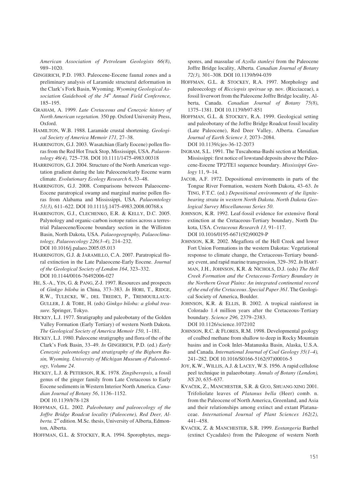*American Association of Petroleum Geologists 66(8)*, 989–1020.

- GINGERICH, P.D. 1983. Paleocene-Eocene faunal zones and a preliminary analysis of Laramide structural deformation in the Clark's Fork Basin, Wyoming. *Wyoming Geological Association Guidebook of the 34th Annual Field Conference,* 185–195.
- GRAHAM, A. 1999. *Late Cretaceous and Cenozoic history of North American vegetation.* 350 pp. Oxford University Press, Oxford.
- HAMILTON, W.B. 1988. Laramide crustal shortening. *Geological Society of America Memoir 171,* 27–38.
- HARRINGTON, G.J. 2003. Wasatchian (Early Eocene) pollen floras from the Red Hot Truck Stop, Mississippi, USA. *Palaeontology 46(4),* 725–738. DOI 10.1111/1475-4983.00318

HARRINGTON, G.J. 2004. Structure of the North American vegetation gradient during the late Paleocene/early Eocene warm climate. *Evolutionary Ecology Research 6*, 33–48.

- HARRINGTON, G.J. 2008. Comparisons between Palaeocene-Eocene paratropical swamp and marginal marine pollen floras from Alabama and Mississippi, USA. *Palaeontology 51(3),* 611–622. DOI 10.1111/j.1475-4983.2008.00768.x
- HARRINGTON, G.J., CLECHENKO, E.R. & KELLY, D.C. 2005. Palynology and organic-carbon isotope ratios across a terrestrial Palaeocene/Eocene boundary section in the Williston Basin, North Dakota, USA. *Palaeogeography, Palaeoclimatology, Palaeoecology 226(3–4),* 214–232. DOI 10.1016/j.palaeo.2005.05.013
- HARRINGTON, G.J. & JARAMILLO, C.A. 2007. Paratropical floral extinction in the Late Palaeocene-Early Eocene. *Journal of the Geological Society of London 164*, 323–332. DOI 10.1144/0016-76492006-027
- HE, S.-A., YIN, G. & PANG, Z-J. 1997. Resources and prospects of *Ginkgo biloba* in China, 373–383. *In* HORI, T., RIDGE, R.W., TULECKE, W., DEL TREDICI, P., TREMOUILLAUX-GULLER, J. & TOBE, H. (eds) *Ginkgo biloba: a global treasure.* Springer, Tokyo.
- HICKEY, L.J. 1977. Stratigraphy and paleobotany of the Golden Valley Formation (Early Tertiary) of western North Dakota. *The Geological Society of America Memoir 150*, 1–181.
- HICKEY, L.J. 1980. Paleocene stratigraphy and flora of the of the Clark's Fork Basin, 33–49. *In* GINGERICH, P.D. (ed.) *Early Cenozoic paleontology and stratigraphy of the Bighorn Basin, Wyoming. University of Michigan Museum of Paleontology, Volume 24*.
- HICKEY, L.J. & PETERSON, R.K. 1978. *Zingiberopsis*, a fossil genus of the ginger family from Late Cretaceous to Early Eocene sediments in Western Interior North America. *Canadian Journal of Botany 56*, 1136–1152. DOI 10.1139/b78-128
- HOFFMAN, G.L. 2002. *Paleobotany and paleoecology of the Joffre Bridge Roadcut locality (Paleocene), Red Deer, Al*berta. 2<sup>nd</sup> edition. M.Sc. thesis, University of Alberta, Edmonton, Alberta.

HOFFMAN, G.L. & STOCKEY, R.A. 1994. Sporophytes, mega-

spores, and massulae of *Azolla stanleyi* from the Paleocene Joffre Bridge locality, Alberta. *Canadian Journal of Botany 72(3),* 301–308. DOI 10.1139/b94-039

- HOFFMAN, G.L. & STOCKEY, R.A. 1997. Morphology and paleoecology of *Ricciopsis speirsae* sp. nov. (Ricciaceae), a fossil liverwort from the Paleocene Joffre Bridge locality, Alberta, Canada. *Canadian Journal of Botany 75(8)*, 1375–1381. DOI 10.1139/b97-851
- HOFFMAN, G.L. & STOCKEY, R.A. 1999. Geological setting and paleobotany of the Joffre Bridge Roadcut fossil locality (Late Paleocene), Red Deer Valley, Alberta. *Canadian Journal of Earth Science 3,* 2073–2084. DOI 10.1139/cjes-36-12-2073
- INGRAM, S.L. 1991. The Tuscahoma-Bashi section at Meridian, Mississippi: first notice of lowstand deposits above the Paleocene-Eocene TP2/TE1 sequence boundary. *Mississippi Geology* 11, 9–14.
- JACOB, A.F. 1972. Depositional environments in parts of the Tongue River Formation, western North Dakota, 43–63. *In* TING, F.T.C. (ed.) *Depositional environments of the lignitebearing strata in western North Dakota. North Dakota Geological Survey Miscellaneous Series 50*.
- JOHNSON, K.R. 1992. Leaf-fossil evidence for extensive floral extinction at the Cretaceous-Tertiary boundary, North Dakota, USA. *Cretaceous Research 13,* 91–117. DOI 10.1016/0195-6671(92)90029-P
- JOHNSON, K.R. 2002. Megaflora of the Hell Creek and lower Fort Union Formations in the western Dakotas: Vegetational response to climate change, the Cretaceous-Tertiary boundary event, and rapid marine transgression, 329–392. *In* HART-MAN, J.H., JOHNSON, K.R. & NICHOLS, D.J. (eds) *The Hell Creek Formation and the Cretaceous-Tertiary Boundary in the Northern Great Plains: An integrated continental record of the end of the Cretaceous*. *Special Paper 361*. The Geological Society of America, Boulder.
- JOHNSON, K.R. & ELLIS, B. 2002. A tropical rainforest in Colorado 1.4 million years after the Cretaceous-Tertiary boundary. *Science 296,* 2379–2383. DOI 10.1126/science.1072102
- JOHNSON, R.C. & FLORES, R.M. 1998. Developmental geology of coalbed methane from shallow to deep in Rocky Mountain basins and in Cook Inlet–Matanuska Basin, Alaska, U.S.A. and Canada. *International Journal of Coal Geology 35(1–4),* 241–282. DOI 10.1016/S0166-5162(97)00016-5
- JOY, K.W., WILLIS, A.J. & LACEY, W.S. 1956. A rapid cellulose peel technique in palaeobotany. *Annals of Botany (London), NS 20*, 635–637.
- KVAČEK, Z., MANCHESTER, S.R. & GUO, SHUANG-XING 2001. Trifoliolate leaves of *Platanus bella* (Heer) comb. n. from the Paleocene of North America, Greenland, and Asia and their relationships among extinct and extant Platanaceae. *International Journal of Plant Sciences 162(2),* 441–458.
- KVAČEK, Z. & MANCHESTER, S.R. 1999. *Eostangeria* Barthel (extinct Cycadales) from the Paleogene of western North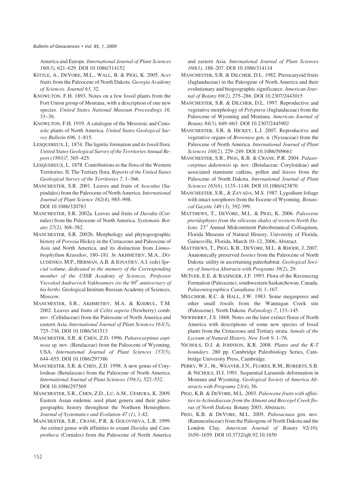America and Europe. *International Journal of Plant Sciences 160(3),* 621–629. DOI 10.1086/314152

- KITTLE, A., DEVORE, M.L., WALL, B. & PIGG, K. 2005. *Acer* fruits from the Paleocene of North Dakota. *Georgia Academy of Sciences. Journal 63*, 32.
- KNOWLTON, F.H. 1893. Notes on a few fossil plants from the Fort Union group of Montana, with a description of one new species. *United States National Museum Proceedings 16,* 33–36.
- KNOWLTON, F.H. 1919. A catalogue of the Mesozoic and Cenozoic plants of North America. *United States Geological Survey Bulletin 696,* 1–815.
- LESQUEREUX, L. 1874. The lignitic formation and its fossil flora. *United States Geological Survey of the Territories Annual Report (1893)7,* 365–425.
- LESQUEREUX, L. 1878. Contributions to the flora of the Western Territories. II. The Tertiary flora. *Reports of the United States Geological Survey of the Territories 7*, 1–366.
- MANCHESTER, S.R. 2001. Leaves and fruits of *Aesculus* (Sapindales) from the Paleocene of North America. *International Journal of Plant Science 162(4),* 985–998. DOI 10.1086/320783
- MANCHESTER, S.R. 2002a. Leaves and fruits of *Davidia* (Cornales) from the Paleocene of North America. *Systematic Botany 27(2),* 368–382.
- MANCHESTER, S.R. 2002b. Morphology and phytogeographic history of *Porosia* Hickey in the Cretaceous and Paleocene of Asia and North America, and its distinction from *Limnobiophyllum* Krassilov, 180–181. *In* AKHMETIEV, M.A., DO-LUDENKO, M.P., HERMAN, A.B. & IGNATIEV, A.I. (eds) *Special volume, dedicated to the memory of the Corresponding member of the USSR Academy of Sciences, Professor Vsevolod Andreevich Vakhrameev (to the 90th anniversary of his birth)*. Geological Institute Russian Academy of Sciences, Moscow.
- MANCHESTER, S.R., AKHMETIEV, M.A. & KODRUL, T.M. 2002. Leaves and fruits of *Celtis aspera* (Newberry) comb. nov. (Celtidaceae) from the Paleocene of North America and eastern Asia. *International Journal of Plant Sciences 163(5),* 725–736. DOI 10.1086/341513
- MANCHESTER, S.R. & CHEN, Z.D. 1996. *Palaeocarpinus aspinosa* sp. nov. (Betulaceae) from the Paleocene of Wyoming, USA. *International Journal of Plant Sciences 157(5),* 644–655. DOI 10.1086/297386
- MANCHESTER, S.R. & CHEN, Z.D. 1998. A new genus of Coryloideae (Betulaceae) from the Paleocene of North America. *International Journal of Plant Sciences 159(3),* 522–532. DOI 10.1086/297569
- MANCHESTER, S.R., CHEN, Z.D., LU, A.M., UEMURA, K. 2009. Eastern Asian endemic seed plant genera and their paleogeographic history throughout the Northern Hemisphere. *Journal of Systematics and Evolution 47 (1)*, 1-42.
- MANCHESTER, S.R., CRANE, P.R. & GOLOVNEVA, L.B. 1999. An extinct genus with affinities to extant *Davidia* and *Camptotheca* (Cornales) from the Paleocene of North America

and eastern Asia. *International Journal of Plant Sciences 160(1),* 188–207. DOI 10.1086/314114

- MANCHESTER, S.R. & DILCHER, D.L. 1982. Pterocaryoid fruits (Juglandaceae) in the Paleogene of North America and their evolutionary and biogeographic significance. *American Journal of Botany 69(2),* 275–286. DOI 10.2307/2443015
- MANCHESTER, S.R. & DILCHER, D.L. 1997. Reproductive and vegetative morphology of *Polyptera* (Juglandaceae) from the Paleocene of Wyoming and Montana. *American Journal of Botany 84(5),* 649–663. DOI 10.2307/2445902
- MANCHESTER, S.R. & HICKEY, L.J. 2007. Reproductive and vegetative organs of *Browniea* gen. n. (Nyssaceae) from the Paleocene of North America. *International Journal of Plant Sciences 168(2),* 229–249. DOI 10.1086/509661
- MANCHESTER, S.R., PIGG, K.B. & CRANE, P.R. 2004. *Palaeocarpinus dakotensis* sp. nov. (Betulaceae: Coryloideae) and associated staminate catkins, pollen and leaves from the Paleocene of North Dakota. *International Journal of Plant Sciences 165(6),* 1135–1148. DOI 10.1086/423870
- MANCHESTER, S.R., & ZAVADA, M.S. 1987. Lygodium foliage with intact sorophores from the Eocene of Wyoming. *Botanical Gazette 148 (3)*, 392-399.
- MATTHEWS, T., DEVORE, M.L. & PIGG, K. 2006. *Paleocene pteridophytes from the siliceous shales of western North Dakota*. 23rd Annual Midcontinent Paleobotanical Colloquium, Florida Museum of Natural History, University of Florida, Gainesville, Florida, March 10–12, 2006, Abstract.
- MATTHEWS, T., PIGG, K.B., DEVORE, M.L. & RHODE, J. 2007. Anatomically preserved *Isoetes* from the Paleocene of North Dakota: utility in ascertaining paleohabitat. *Geological Society of America Abstracts with Programs 39(2)*, 29.
- MCIVER, E.E. & BASINGER, J.F. 1993. Flora of the Ravenscrag Formation (Paleocene), southwestern Saskatchewan, Canada. *Palaeontographica Canadiana 10*, 1–167.
- MELCHIOR, R.C. & HALL, J.W. 1983. Some megaspores and other small fossils from the Wannagan Creek site (Paleocene), North Dakota. *Palynology 7*, 133–145.
- NEWBERRY, J.S. 1868. Notes on the later extinct floras of North America with descriptions of some new species of fossil plants from the Cretaceous and Tertiary strata. *Annals of the Lyceum of Natural History, New York 9*, 1–76.
- NICHOLS, D.J. & JOHNSON, K.R. 2008. *Plants and the K-T boundary*. 280 pp. Cambridge Paleobiology Series, Cambridge University Press, Cambridge.
- PERRY, W.J., JR., WEAVER, J.N., FLORES, R.M., ROBERTS, S.B. & NICHOLS, D.J. 1991. Sequential Laramide deformation in Montana and Wyoming. *Geological Society of America Abstracts with Programs 23(4),* 56.
- PIGG, K.B. & DEVORE, M.L. 2003. *Paleocene fruits with affinities to Actinidiaceae from the Almont and Beicegel Creek floras of North Dakota*. Botany 2003, Abstracts.
- PIGG, K.B. & DEVORE, M.L. 2005. *Paleoactaea* gen. nov. (Ranunculaceae) from the Paleogene of North Dakota and the London Clay. *American Journal of Botany 92(10),* 1650–1659. DOI 10.3732/ajb.92.10.1650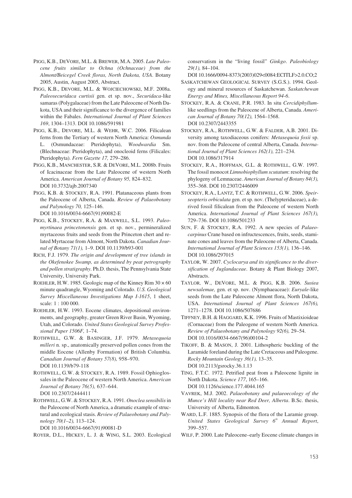- PIGG, K.B., DEVORE, M.L. & BREWER, M.A. 2005. *Late Paleocene fruits similar to Ochna (Ochnaceae) from the Almont/Beicegel Creek floras, North Dakota, USA*. Botany 2005, Austin, August 2005, Abstract.
- PIGG, K.B., DEVORE, M.L. & WOJCIECHOWSKI, M.F. 2008a. *Paleosecuridaca curtisii* gen. et sp. nov., *Securidaca*-like samaras (Polygalaceae) from the Late Paleocene of North Dakota, USA and their significance to the divergence of families within the Fabales. *International Journal of Plant Sciences 169*, 1304–1313. DOI 10.1086/591981
- PIGG, K.B., DEVORE, M.L. & WEHR, W.C. 2006. Filicalean ferns from the Tertiary of western North America: *Osmunda* L. (Osmundaceae: Pteridophyta), *Woodwardia* Sm. (Blechnaceae: Pteridophyta), and onocleoid ferns (Filicales: Pteridophyta). *Fern Gazette 17,* 279–286.
- PIGG, K.B., MANCHESTER, S.R. & DEVORE, M.L. 2008b. Fruits of Icacinaceae from the Late Paleocene of western North America. *American Journal of Botany 95,* 824–832. DOI 10.3732/ajb.2007340
- PIGG, K.B. & STOCKEY, R.A. 1991. Platanaceous plants from the Paleocene of Alberta, Canada. *Review of Palaeobotany and Palynology 70,* 125–146.

DOI 10.1016/0034-6667(91)90082-E

- PIGG, K.B., STOCKEY, R.A. & MAXWELL, S.L. 1993. *Paleomyrtinaea princetonensis* gen. et sp. nov., permineralized myrtaceous fruits and seeds from the Princeton chert and related Myrtaceae from Almont, North Dakota. *Canadian Journal of Botany 71(1),* 1–9. DOI 10.1139/b93-001
- RICH, F.J. 1979. *The origin and development of tree islands in the Okefenokee Swamp, as determined by peat petrography and pollen stratigraphy*. Ph.D. thesis, The Pennsylvania State University, University Park.
- ROEHLER, H.W. 1985. Geologic map of the Kinney Rim  $30 \times 60$ minute quadrangle, Wyoming and Colorado. *U.S. Geological Survey Miscellaneous Investigations Map I-1615*, 1 sheet, scale: 1 : 100 000.
- ROEHLER, H.W. 1993. Eocene climates, depositional environments, and geography, greater Green River Basin, Wyoming, Utah, and Colorado. *United States Geological Survey Professional Paper 1506F,* 1–74.
- ROTHWELL, G.W. & BASINGER, J.F. 1979. *Metasequoia milleri* n. sp., anatomically preserved pollen cones from the middle Eocene (Allenby Formation) of British Columbia. *Canadian Journal of Botany 57(8),* 958–970. DOI 10.1139/b79-118
- ROTHWELL, G.W. & STOCKEY, R.A. 1989. Fossil Ophioglossales in the Paleocene of western North America. *American Journal of Botany 76(5),* 637–644. DOI 10.2307/2444411
- ROTHWELL, G.W. & STOCKEY, R.A. 1991. *Onoclea sensibilis*in the Paleocene of North America, a dramatic example of structural and ecological stasis. *Review of Palaeobotany and Palynology 70(1–2),* 113–124.

DOI 10.1016/0034-6667(91)90081-D

ROYER, D.L., HICKEY, L. J. & WING, S.L. 2003. Ecological

conservatism in the "living fossil" *Ginkgo*. *Paleobiology 29(1),* 84–104.

DOI 10.1666/0094-8373(2003)029<0084:ECITLF>2.0.CO;2

- SASKATCHEWAN GEOLOGICAL SURVEY (S.G.S.). 1994. Geology and mineral resources of Saskatchewan. *Saskatchewan Energy and Mines, Miscellaneous Report 94-6*.
- STOCKEY, R.A. & CRANE, P.R. 1983. In situ *Cercidiphyllum*like seedlings from the Paleocene of Alberta, Canada. *American Journal of Botany 70(12),* 1564–1568. DOI 10.2307/2443355
- STOCKEY, R.A., ROTHWELL, G.W. & FALDER, A.B. 2001. Diversity among taxodiaceous conifers: *Metasequoia foxii* sp. nov. from the Paleocene of central Alberta, Canada. *International Journal of Plant Sciences 162(1),* 221–234. DOI 10.1086/317914
- STOCKEY, R.A., HOFFMAN, G.L. & ROTHWELL, G.W. 1997. The fossil monocot *Limnobiophyllum scutatum*: resolving the phylogeny of Lemnaceae. *American Journal of Botany 84(3),* 355–368. DOI 10.2307/2446009
- STOCKEY, R.A., LANTZ, T.C. & ROTHWELL, G.W. 2006. *Speirseopteris orbiculata* gen. et sp. nov. (Thelypteridaceae), a derived fossil filicalean from the Paleocene of western North America. *International Journal of Plant Sciences 167(3),* 729–736. DOI 10.1086/501233
- SUN, F. & STOCKEY, R.A. 1992. A new species of *Palaeocarpinus* Crane based on infructescences, fruits, seeds, staminate cones and leaves from the Paleocene of Alberta, Canada. *International Journal of Plant Sciences 153(1),* 136–146. DOI 10.1086/297015
- TAYLOR, W. 2007. *Cyclocarya and its significance to the diversification of Juglandaceae*. Botany & Plant Biology 2007, Abstracts.
- TAYLOR, W., DEVORE, M.L. & PIGG, K.B. 2006. *Susiea newsalemae,* gen. et sp. nov. (Nymphaeaceae): *Euryale*-like seeds from the Late Paleocene Almont flora, North Dakota, USA. *International Journal of Plant Sciences 167(6),* 1271–1278. DOI 10.1086/507686
- TIFFNEY, B.H. & HAGGARD, K.K. 1996. Fruits of Mastixioideae (Cornaceae) from the Paleogene of western North America. *Review of Palaeobotany and Palynology 92(6),* 29–54. DOI 10.1016/0034-6667(96)00104-2
- TIKOFF, B. & MASON, J. 2001. Lithospheric buckling of the Laramide foreland during the Late Cretaceous and Paleogene. *Rocky Mountain Geology 36(1),* 13–35. DOI 10.2113/gsrocky.36.1.13
- TING, F.T.C. 1972. Petrified peat from a Paleocene lignite in North Dakota. *Science 177*, 165–166. DOI 10.1126/science.177.4044.165
- VAVREK, M.J. 2002. *Palaeobotany and palaeoecology of the Munce's Hill locality near Red Deer, Alberta*. B.Sc. thesis, University of Alberta, Edmonton.
- WARD, L.F. 1885. Synopsis of the flora of the Laramie group. *United States Geological Survey 6th Annual Report*, 399–557.
- WILF, P. 2000. Late Paleocene–early Eocene climate changes in